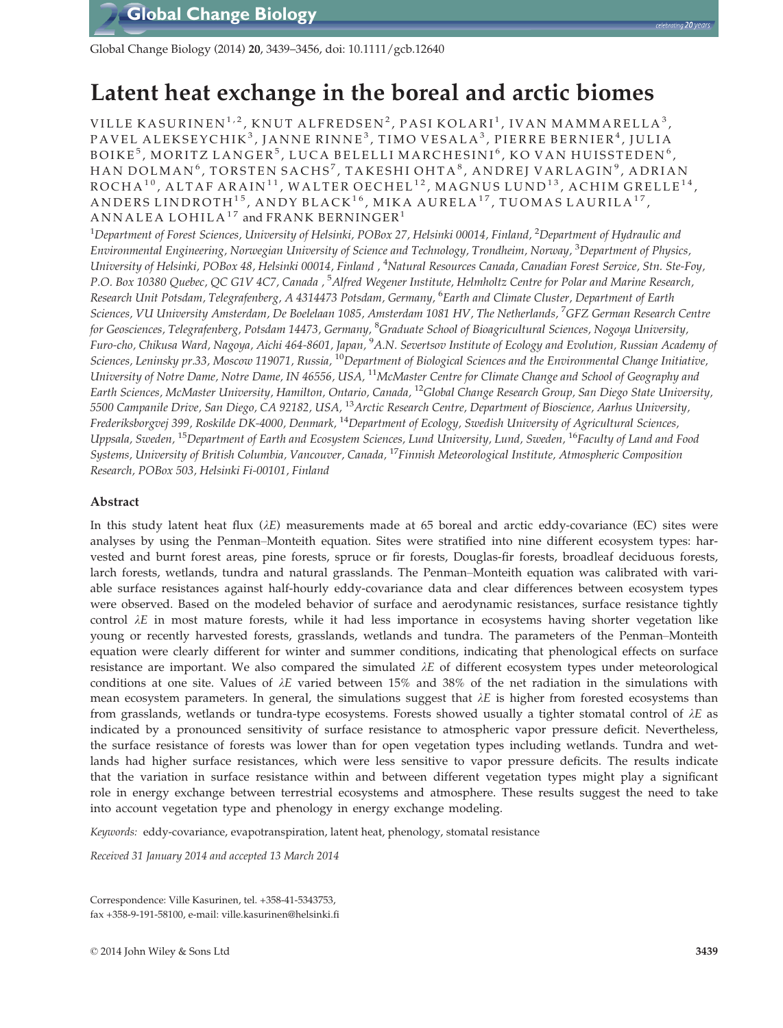**Global Change Biology**

Global Change Biology (2014) 20, 3439–3456, doi: 10.1111/gcb.12640

# Latent heat exchange in the boreal and arctic biomes

VILLE KASURINEN<sup>1,2</sup>, KNUT ALFREDSEN<sup>2</sup>, PASI KOLARI<sup>1</sup>, IVAN MAMMARELLA<sup>3</sup>, PAVEL ALEKSEYCHIK<sup>3</sup>, JANNE RINNE<sup>3</sup>, TIMO VESALA<sup>3</sup>, PIERRE BERNIER<sup>4</sup>, JULIA BOIKE<sup>5</sup>, MORITZ LANGER<sup>5</sup>, LUCA BELELLI MARCHESINI<sup>6</sup>, KO VAN HUISSTEDEN<sup>6</sup>, HAN DOLMAN<sup>6</sup>, TORSTEN SACHS<sup>7</sup>, TAKESHI OHTA<sup>8</sup>, ANDREJ VARLAGIN<sup>9</sup>, ADRIAN ROCHA<sup>10</sup>, ALTAF ARAIN<sup>11</sup>, WALTER OECHEL<sup>12</sup>, MAGNUS LUND<sup>13</sup>, ACHIM GRELLE<sup>14</sup> ANDERS LINDROTH<sup>15</sup>, ANDY BLACK<sup>16</sup>, MIKA AURELA<sup>17</sup>, TUOMAS LAURILA<sup>17</sup>, ANNALEA LOHILA<sup>17</sup> and FRANK BERNINGER<sup>1</sup>

 $^{\rm 1}$ Department of Forest Sciences, University of Helsinki, POBox 27, Helsinki 00014, Finland,  $^{\rm 2}$ Department of Hydraulic and Environmental Engineering, Norwegian University of Science and Technology, Trondheim, Norway, <sup>3</sup>Department of Physics, University of Helsinki, POBox 48, Helsinki 00014, Finland , <sup>4</sup> Natural Resources Canada, Canadian Forest Service, Stn. Ste-Foy, P.O. Box 10380 Quebec, QC G1V 4C7, Canada , <sup>5</sup>Alfred Wegener Institute, Helmholtz Centre for Polar and Marine Research, Research Unit Potsdam, Telegrafenberg, A 4314473 Potsdam, Germany, <sup>6</sup>Earth and Climate Cluster, Department of Earth Sciences, VU University Amsterdam, De Boelelaan 1085, Amsterdam 1081 HV, The Netherlands, <sup>7</sup>GFZ German Research Centre for Geosciences, Telegrafenberg, Potsdam 14473, Germany, <sup>8</sup>Graduate School of Bioagricultural Sciences, Nogoya University, Furo-cho, Chikusa Ward, Nagoya, Aichi 464-8601, Japan, <sup>9</sup>A.N. Severtsov Institute of Ecology and Evolution, Russian Academy of Sciences, Leninsky pr.33, Moscow 119071, Russia, <sup>10</sup>Department of Biological Sciences and the Environmental Change Initiative, University of Notre Dame, Notre Dame, IN 46556, USA, <sup>11</sup>McMaster Centre for Climate Change and School of Geography and Earth Sciences, McMaster University, Hamilton, Ontario, Canada, <sup>12</sup>Global Change Research Group, San Diego State University, 5500 Campanile Drive, San Diego, CA 92182, USA, <sup>13</sup>Arctic Research Centre, Department of Bioscience, Aarhus University, Frederiksborgvej 399, Roskilde DK-4000, Denmark, <sup>14</sup>Department of Ecology, Swedish University of Agricultural Sciences, Uppsala, Sweden, <sup>15</sup>Department of Earth and Ecosystem Sciences, Lund University, Lund, Sweden, <sup>16</sup>Faculty of Land and Food Systems, University of British Columbia, Vancouver, Canada, <sup>17</sup>Finnish Meteorological Institute, Atmospheric Composition Research, POBox 503, Helsinki Fi-00101, Finland

## Abstract

In this study latent heat flux  $(\lambda E)$  measurements made at 65 boreal and arctic eddy-covariance (EC) sites were analyses by using the Penman–Monteith equation. Sites were stratified into nine different ecosystem types: harvested and burnt forest areas, pine forests, spruce or fir forests, Douglas-fir forests, broadleaf deciduous forests, larch forests, wetlands, tundra and natural grasslands. The Penman–Monteith equation was calibrated with variable surface resistances against half-hourly eddy-covariance data and clear differences between ecosystem types were observed. Based on the modeled behavior of surface and aerodynamic resistances, surface resistance tightly control  $\lambda E$  in most mature forests, while it had less importance in ecosystems having shorter vegetation like young or recently harvested forests, grasslands, wetlands and tundra. The parameters of the Penman–Monteith equation were clearly different for winter and summer conditions, indicating that phenological effects on surface resistance are important. We also compared the simulated  $\lambda E$  of different ecosystem types under meteorological conditions at one site. Values of  $\lambda E$  varied between 15% and 38% of the net radiation in the simulations with mean ecosystem parameters. In general, the simulations suggest that  $\lambda E$  is higher from forested ecosystems than from grasslands, wetlands or tundra-type ecosystems. Forests showed usually a tighter stomatal control of  $\lambda E$  as indicated by a pronounced sensitivity of surface resistance to atmospheric vapor pressure deficit. Nevertheless, the surface resistance of forests was lower than for open vegetation types including wetlands. Tundra and wetlands had higher surface resistances, which were less sensitive to vapor pressure deficits. The results indicate that the variation in surface resistance within and between different vegetation types might play a significant role in energy exchange between terrestrial ecosystems and atmosphere. These results suggest the need to take into account vegetation type and phenology in energy exchange modeling.

Keywords: eddy-covariance, evapotranspiration, latent heat, phenology, stomatal resistance

Received 31 January 2014 and accepted 13 March 2014

Correspondence: Ville Kasurinen, tel. +358-41-5343753, fax +358-9-191-58100, e-mail: ville.kasurinen@helsinki.fi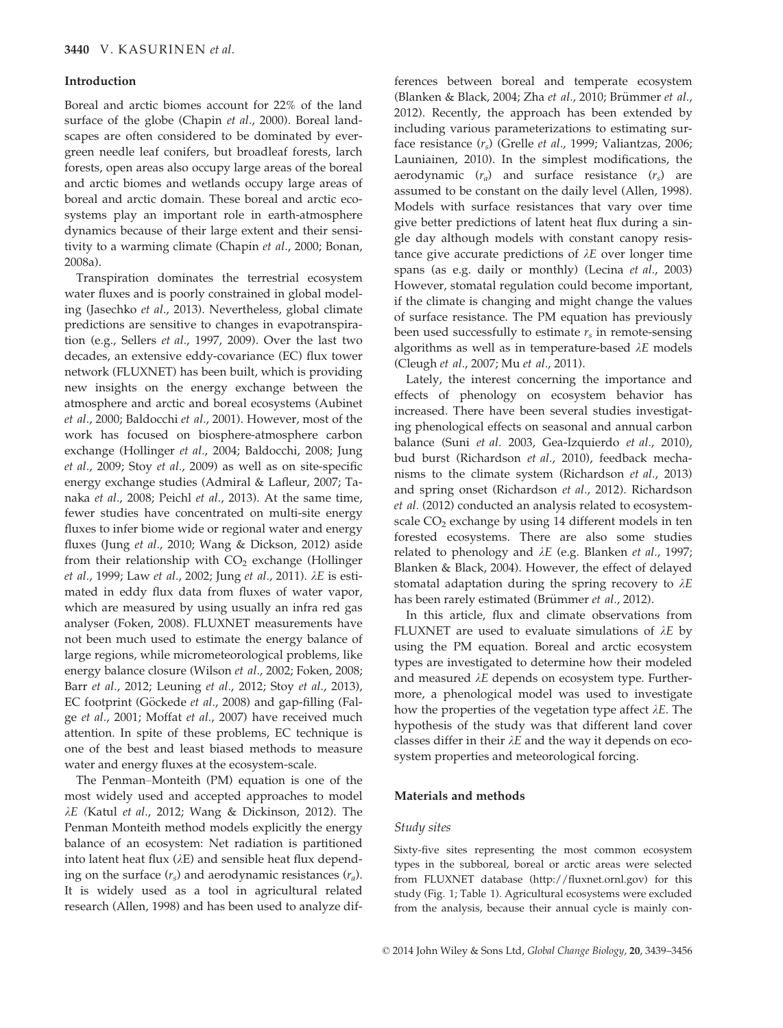## Introduction

Boreal and arctic biomes account for 22% of the land surface of the globe (Chapin et al., 2000). Boreal landscapes are often considered to be dominated by evergreen needle leaf conifers, but broadleaf forests, larch forests, open areas also occupy large areas of the boreal and arctic biomes and wetlands occupy large areas of boreal and arctic domain. These boreal and arctic ecosystems play an important role in earth-atmosphere dynamics because of their large extent and their sensitivity to a warming climate (Chapin et al., 2000; Bonan, 2008a).

Transpiration dominates the terrestrial ecosystem water fluxes and is poorly constrained in global modeling (Jasechko et al., 2013). Nevertheless, global climate predictions are sensitive to changes in evapotranspiration (e.g., Sellers et al., 1997, 2009). Over the last two decades, an extensive eddy-covariance (EC) flux tower network (FLUXNET) has been built, which is providing new insights on the energy exchange between the atmosphere and arctic and boreal ecosystems (Aubinet et al., 2000; Baldocchi et al., 2001). However, most of the work has focused on biosphere-atmosphere carbon exchange (Hollinger et al., 2004; Baldocchi, 2008; Jung et al., 2009; Stoy et al., 2009) as well as on site-specific energy exchange studies (Admiral & Lafleur, 2007; Tanaka et al., 2008; Peichl et al., 2013). At the same time, fewer studies have concentrated on multi-site energy fluxes to infer biome wide or regional water and energy fluxes (Jung et al., 2010; Wang & Dickson, 2012) aside from their relationship with  $CO<sub>2</sub>$  exchange (Hollinger et al., 1999; Law et al., 2002; Jung et al., 2011).  $\lambda E$  is estimated in eddy flux data from fluxes of water vapor, which are measured by using usually an infra red gas analyser (Foken, 2008). FLUXNET measurements have not been much used to estimate the energy balance of large regions, while micrometeorological problems, like energy balance closure (Wilson et al., 2002; Foken, 2008; Barr et al., 2012; Leuning et al., 2012; Stoy et al., 2013), EC footprint (Göckede et al., 2008) and gap-filling (Falge et al., 2001; Moffat et al., 2007) have received much attention. In spite of these problems, EC technique is one of the best and least biased methods to measure water and energy fluxes at the ecosystem-scale.

The Penman–Monteith (PM) equation is one of the most widely used and accepted approaches to model  $\lambda E$  (Katul *et al.,* 2012; Wang & Dickinson, 2012). The Penman Monteith method models explicitly the energy balance of an ecosystem: Net radiation is partitioned into latent heat flux  $(\lambda E)$  and sensible heat flux depending on the surface  $(r_s)$  and aerodynamic resistances  $(r_a)$ . It is widely used as a tool in agricultural related research (Allen, 1998) and has been used to analyze differences between boreal and temperate ecosystem (Blanken & Black, 2004; Zha et al., 2010; Brümmer et al., 2012). Recently, the approach has been extended by including various parameterizations to estimating surface resistance  $(r_s)$  (Grelle et al., 1999; Valiantzas, 2006; Launiainen, 2010). In the simplest modifications, the aerodynamic  $(r_a)$  and surface resistance  $(r_s)$  are assumed to be constant on the daily level (Allen, 1998). Models with surface resistances that vary over time give better predictions of latent heat flux during a single day although models with constant canopy resistance give accurate predictions of  $\lambda E$  over longer time spans (as e.g. daily or monthly) (Lecina et al., 2003) However, stomatal regulation could become important, if the climate is changing and might change the values of surface resistance. The PM equation has previously been used successfully to estimate  $r<sub>s</sub>$  in remote-sensing algorithms as well as in temperature-based  $\lambda E$  models (Cleugh et al., 2007; Mu et al., 2011).

Lately, the interest concerning the importance and effects of phenology on ecosystem behavior has increased. There have been several studies investigating phenological effects on seasonal and annual carbon balance (Suni et al. 2003, Gea-Izquierdo et al., 2010), bud burst (Richardson et al., 2010), feedback mechanisms to the climate system (Richardson et al., 2013) and spring onset (Richardson et al., 2012). Richardson et al. (2012) conducted an analysis related to ecosystemscale  $CO<sub>2</sub>$  exchange by using 14 different models in ten forested ecosystems. There are also some studies related to phenology and  $\lambda E$  (e.g. Blanken et al., 1997; Blanken & Black, 2004). However, the effect of delayed stomatal adaptation during the spring recovery to  $\lambda E$ has been rarely estimated (Brümmer et al., 2012).

In this article, flux and climate observations from FLUXNET are used to evaluate simulations of  $\lambda E$  by using the PM equation. Boreal and arctic ecosystem types are investigated to determine how their modeled and measured  $\lambda E$  depends on ecosystem type. Furthermore, a phenological model was used to investigate how the properties of the vegetation type affect  $\lambda E$ . The hypothesis of the study was that different land cover classes differ in their  $\lambda E$  and the way it depends on ecosystem properties and meteorological forcing.

#### Materials and methods

## Study sites

Sixty-five sites representing the most common ecosystem types in the subboreal, boreal or arctic areas were selected from FLUXNET database (http://fluxnet.ornl.gov) for this study (Fig. 1; Table 1). Agricultural ecosystems were excluded from the analysis, because their annual cycle is mainly con-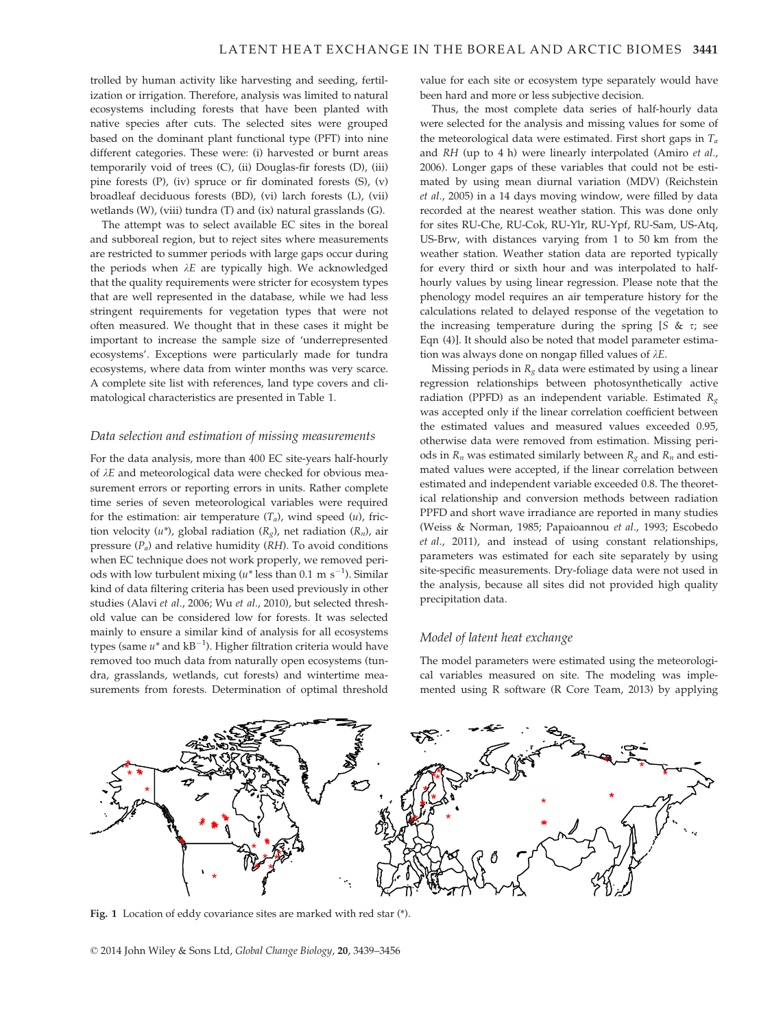trolled by human activity like harvesting and seeding, fertilization or irrigation. Therefore, analysis was limited to natural ecosystems including forests that have been planted with native species after cuts. The selected sites were grouped based on the dominant plant functional type (PFT) into nine different categories. These were: (i) harvested or burnt areas temporarily void of trees (C), (ii) Douglas-fir forests (D), (iii) pine forests (P), (iv) spruce or fir dominated forests (S), (v) broadleaf deciduous forests (BD), (vi) larch forests (L), (vii) wetlands (W), (viii) tundra (T) and (ix) natural grasslands (G).

The attempt was to select available EC sites in the boreal and subboreal region, but to reject sites where measurements are restricted to summer periods with large gaps occur during the periods when  $\lambda E$  are typically high. We acknowledged that the quality requirements were stricter for ecosystem types that are well represented in the database, while we had less stringent requirements for vegetation types that were not often measured. We thought that in these cases it might be important to increase the sample size of 'underrepresented ecosystems'. Exceptions were particularly made for tundra ecosystems, where data from winter months was very scarce. A complete site list with references, land type covers and climatological characteristics are presented in Table 1.

#### Data selection and estimation of missing measurements

For the data analysis, more than 400 EC site-years half-hourly of  $\lambda E$  and meteorological data were checked for obvious measurement errors or reporting errors in units. Rather complete time series of seven meteorological variables were required for the estimation: air temperature  $(T_a)$ , wind speed  $(u)$ , friction velocity  $(u^*)$ , global radiation  $(R_o)$ , net radiation  $(R_n)$ , air pressure  $(P_a)$  and relative humidity (RH). To avoid conditions when EC technique does not work properly, we removed periods with low turbulent mixing ( $u^*$  less than 0.1 m s<sup>-1</sup>). Similar kind of data filtering criteria has been used previously in other studies (Alavi et al., 2006; Wu et al., 2010), but selected threshold value can be considered low for forests. It was selected mainly to ensure a similar kind of analysis for all ecosystems types (same  $u^*$  and  $kB^{-1}$ ). Higher filtration criteria would have removed too much data from naturally open ecosystems (tundra, grasslands, wetlands, cut forests) and wintertime measurements from forests. Determination of optimal threshold value for each site or ecosystem type separately would have been hard and more or less subjective decision.

Thus, the most complete data series of half-hourly data were selected for the analysis and missing values for some of the meteorological data were estimated. First short gaps in  $T_a$ and RH (up to 4 h) were linearly interpolated (Amiro et al., 2006). Longer gaps of these variables that could not be estimated by using mean diurnal variation (MDV) (Reichstein et al., 2005) in a 14 days moving window, were filled by data recorded at the nearest weather station. This was done only for sites RU-Che, RU-Cok, RU-Ylr, RU-Ypf, RU-Sam, US-Atq, US-Brw, with distances varying from 1 to 50 km from the weather station. Weather station data are reported typically for every third or sixth hour and was interpolated to halfhourly values by using linear regression. Please note that the phenology model requires an air temperature history for the calculations related to delayed response of the vegetation to the increasing temperature during the spring  $[S \& \tau; \text{see}]$ Eqn (4)]. It should also be noted that model parameter estimation was always done on nongap filled values of  $\lambda E$ .

Missing periods in  $R_g$  data were estimated by using a linear regression relationships between photosynthetically active radiation (PPFD) as an independent variable. Estimated  $R_{\varphi}$ was accepted only if the linear correlation coefficient between the estimated values and measured values exceeded 0.95, otherwise data were removed from estimation. Missing periods in  $R_n$  was estimated similarly between  $R_g$  and  $R_n$  and estimated values were accepted, if the linear correlation between estimated and independent variable exceeded 0.8. The theoretical relationship and conversion methods between radiation PPFD and short wave irradiance are reported in many studies (Weiss & Norman, 1985; Papaioannou et al., 1993; Escobedo et al., 2011), and instead of using constant relationships, parameters was estimated for each site separately by using site-specific measurements. Dry-foliage data were not used in the analysis, because all sites did not provided high quality precipitation data.

## Model of latent heat exchange

The model parameters were estimated using the meteorological variables measured on site. The modeling was implemented using R software (R Core Team, 2013) by applying



Fig. 1 Location of eddy covariance sites are marked with red star (\*).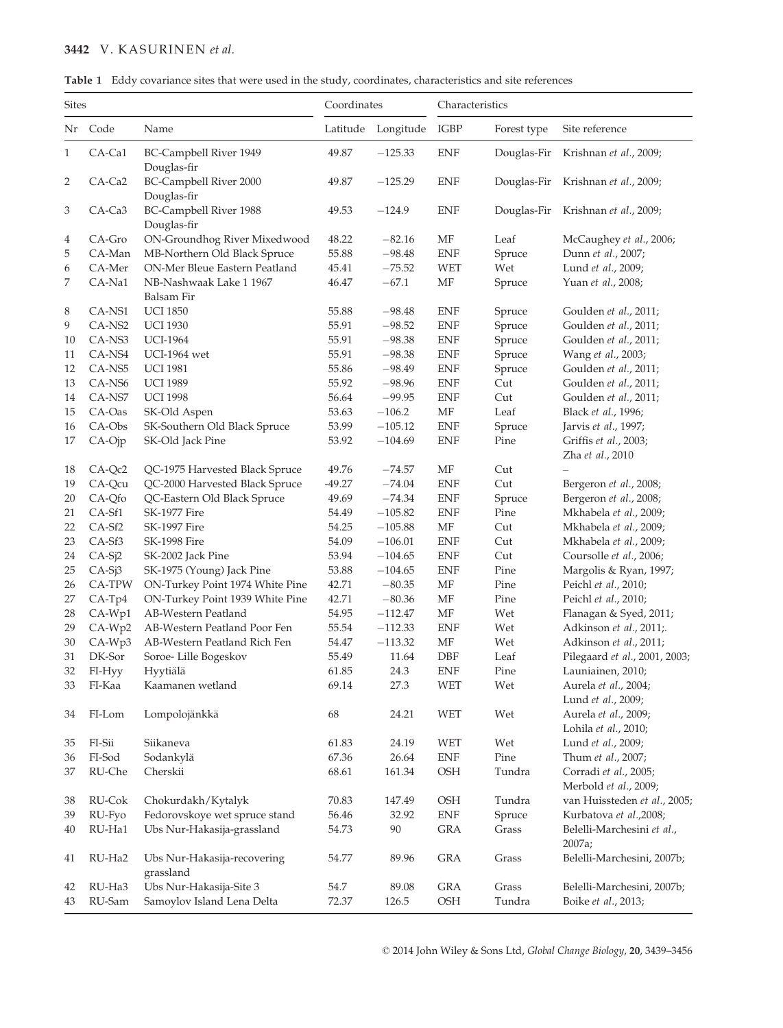|  |  |  |  |  |  |  |  | <b>Table 1</b> Eddy covariance sites that were used in the study, coordinates, characteristics and site references |  |  |
|--|--|--|--|--|--|--|--|--------------------------------------------------------------------------------------------------------------------|--|--|
|--|--|--|--|--|--|--|--|--------------------------------------------------------------------------------------------------------------------|--|--|

| <b>Sites</b> |          |                                              | Coordinates        |           | Characteristics |             |                                                |  |
|--------------|----------|----------------------------------------------|--------------------|-----------|-----------------|-------------|------------------------------------------------|--|
| Nr           | Code     | Name                                         | Latitude Longitude |           | <b>IGBP</b>     | Forest type | Site reference                                 |  |
| 1            | CA-Ca1   | <b>BC-Campbell River 1949</b><br>Douglas-fir | 49.87              | $-125.33$ | <b>ENF</b>      | Douglas-Fir | Krishnan et al., 2009;                         |  |
| 2            | CA-Ca2   | <b>BC-Campbell River 2000</b><br>Douglas-fir | 49.87              | $-125.29$ | <b>ENF</b>      | Douglas-Fir | Krishnan et al., 2009;                         |  |
| 3            | CA-Ca3   | <b>BC-Campbell River 1988</b><br>Douglas-fir | 49.53              | $-124.9$  | <b>ENF</b>      | Douglas-Fir | Krishnan et al., 2009;                         |  |
| 4            | CA-Gro   | ON-Groundhog River Mixedwood                 | 48.22              | $-82.16$  | MF              | Leaf        | McCaughey et al., 2006;                        |  |
| 5            | CA-Man   | MB-Northern Old Black Spruce                 | 55.88              | $-98.48$  | <b>ENF</b>      | Spruce      | Dunn et al., 2007;                             |  |
| 6            | CA-Mer   | ON-Mer Bleue Eastern Peatland                | 45.41              | $-75.52$  | WET             | Wet         | Lund et al., 2009;                             |  |
| 7            | CA-Na1   | NB-Nashwaak Lake 1 1967<br>Balsam Fir        | 46.47              | $-67.1$   | MF              | Spruce      | Yuan et al., 2008;                             |  |
| 8            | CA-NS1   | <b>UCI 1850</b>                              | 55.88              | $-98.48$  | <b>ENF</b>      | Spruce      | Goulden et al., 2011;                          |  |
| 9            | CA-NS2   | <b>UCI 1930</b>                              | 55.91              | $-98.52$  | <b>ENF</b>      | Spruce      | Goulden et al., 2011;                          |  |
| 10           | CA-NS3   | <b>UCI-1964</b>                              | 55.91              | $-98.38$  | <b>ENF</b>      | Spruce      | Goulden et al., 2011;                          |  |
| 11           | CA-NS4   | <b>UCI-1964</b> wet                          | 55.91              | $-98.38$  | <b>ENF</b>      | Spruce      | Wang et al., 2003;                             |  |
| 12           | CA-NS5   | <b>UCI 1981</b>                              | 55.86              | $-98.49$  | <b>ENF</b>      | Spruce      | Goulden et al., 2011;                          |  |
| 13           | CA-NS6   | <b>UCI 1989</b>                              | 55.92              | $-98.96$  | <b>ENF</b>      | Cut         | Goulden et al., 2011;                          |  |
| 14           | CA-NS7   | <b>UCI 1998</b>                              | 56.64              | $-99.95$  | <b>ENF</b>      | Cut         | Goulden et al., 2011;                          |  |
| 15           | CA-Oas   | SK-Old Aspen                                 | 53.63              | $-106.2$  | MF              | Leaf        | Black et al., 1996;                            |  |
| 16           | CA-Obs   | SK-Southern Old Black Spruce                 | 53.99              | $-105.12$ | <b>ENF</b>      | Spruce      | Jarvis et al., 1997;                           |  |
| 17           | CA-Ojp   | SK-Old Jack Pine                             | 53.92              | $-104.69$ | <b>ENF</b>      | Pine        | Griffis et al., 2003;<br>Zha et al., 2010      |  |
| 18           | CA-Qc2   | QC-1975 Harvested Black Spruce               | 49.76              | $-74.57$  | MF              | Cut         | $\equiv$                                       |  |
| 19           | CA-Qcu   | QC-2000 Harvested Black Spruce               | $-49.27$           | $-74.04$  | <b>ENF</b>      | Cut         | Bergeron et al., 2008;                         |  |
| 20           | CA-Qfo   | QC-Eastern Old Black Spruce                  | 49.69              | $-74.34$  | <b>ENF</b>      | Spruce      | Bergeron et al., 2008;                         |  |
| 21           | CA-Sf1   | <b>SK-1977 Fire</b>                          | 54.49              | $-105.82$ | <b>ENF</b>      | Pine        | Mkhabela et al., 2009;                         |  |
| 22           | CA-Sf2   | <b>SK-1997 Fire</b>                          | 54.25              | $-105.88$ | MF              | Cut         | Mkhabela et al., 2009;                         |  |
| 23           | CA-Sf3   | <b>SK-1998 Fire</b>                          | 54.09              | $-106.01$ | <b>ENF</b>      | Cut         | Mkhabela et al., 2009;                         |  |
| 24           | CA-Sj2   | SK-2002 Jack Pine                            | 53.94              | $-104.65$ | <b>ENF</b>      | Cut         | Coursolle et al., 2006;                        |  |
| 25           | CA-Sj3   | SK-1975 (Young) Jack Pine                    | 53.88              | $-104.65$ | <b>ENF</b>      | Pine        | Margolis & Ryan, 1997;                         |  |
| 26           | CA-TPW   | ON-Turkey Point 1974 White Pine              | 42.71              | $-80.35$  | MF              | Pine        | Peichl et al., 2010;                           |  |
| 27           | $CA-Tp4$ | ON-Turkey Point 1939 White Pine              | 42.71              | $-80.36$  | MF              | Pine        | Peichl et al., 2010;                           |  |
| 28           | CA-Wp1   | AB-Western Peatland                          | 54.95              | $-112.47$ | MF              | Wet         | Flanagan & Syed, 2011;                         |  |
| 29           | CA-Wp2   | AB-Western Peatland Poor Fen                 | 55.54              | $-112.33$ | <b>ENF</b>      | Wet         | Adkinson et al., 2011;.                        |  |
| 30           | CA-Wp3   | AB-Western Peatland Rich Fen                 | 54.47              | $-113.32$ | MF              | Wet         | Adkinson et al., 2011;                         |  |
| 31           | DK-Sor   | Soroe-Lille Bogeskov                         | 55.49              | 11.64     | DBF             | Leaf        | Pilegaard et al., 2001, 2003;                  |  |
| 32           | FI-Hyy   | Hyytiälä                                     | 61.85              | 24.3      | <b>ENF</b>      | Pine        | Launiainen, 2010;                              |  |
| 33           | FI-Kaa   | Kaamanen wetland                             | 69.14              | 27.3      | WET             | Wet         | Aurela et al., 2004;<br>Lund et al., 2009;     |  |
| 34           | FI-Lom   | Lompolojänkkä                                | 68                 | 24.21     | WET             | Wet         | Aurela et al., 2009;<br>Lohila et al., 2010;   |  |
| 35           | FI-Sii   | Siikaneva                                    | 61.83              | 24.19     | WET             | Wet         | Lund et al., 2009;                             |  |
| 36           | FI-Sod   | Sodankylä                                    | 67.36              | 26.64     | <b>ENF</b>      | Pine        | Thum et al., 2007;                             |  |
| 37           | RU-Che   | Cherskii                                     | 68.61              | 161.34    | $\rm{OSH}$      | Tundra      | Corradi et al., 2005;<br>Merbold et al., 2009; |  |
| 38           | RU-Cok   | Chokurdakh/Kytalyk                           | 70.83              | 147.49    | <b>OSH</b>      | Tundra      | van Huissteden et al., 2005;                   |  |
| 39           | RU-Fyo   | Fedorovskoye wet spruce stand                | 56.46              | 32.92     | ${\rm ENF}$     | Spruce      | Kurbatova et al.,2008;                         |  |
| 40           | RU-Ha1   | Ubs Nur-Hakasija-grassland                   | 54.73              | 90        | GRA             | Grass       | Belelli-Marchesini et al.,<br>2007a;           |  |
| 41           | RU-Ha2   | Ubs Nur-Hakasija-recovering<br>grassland     | 54.77              | 89.96     | <b>GRA</b>      | Grass       | Belelli-Marchesini, 2007b;                     |  |
| 42           | RU-Ha3   | Ubs Nur-Hakasija-Site 3                      | 54.7               | 89.08     | GRA             | Grass       | Belelli-Marchesini, 2007b;                     |  |
| 43           | RU-Sam   | Samoylov Island Lena Delta                   | 72.37              | 126.5     | OSH             | Tundra      | Boike et al., 2013;                            |  |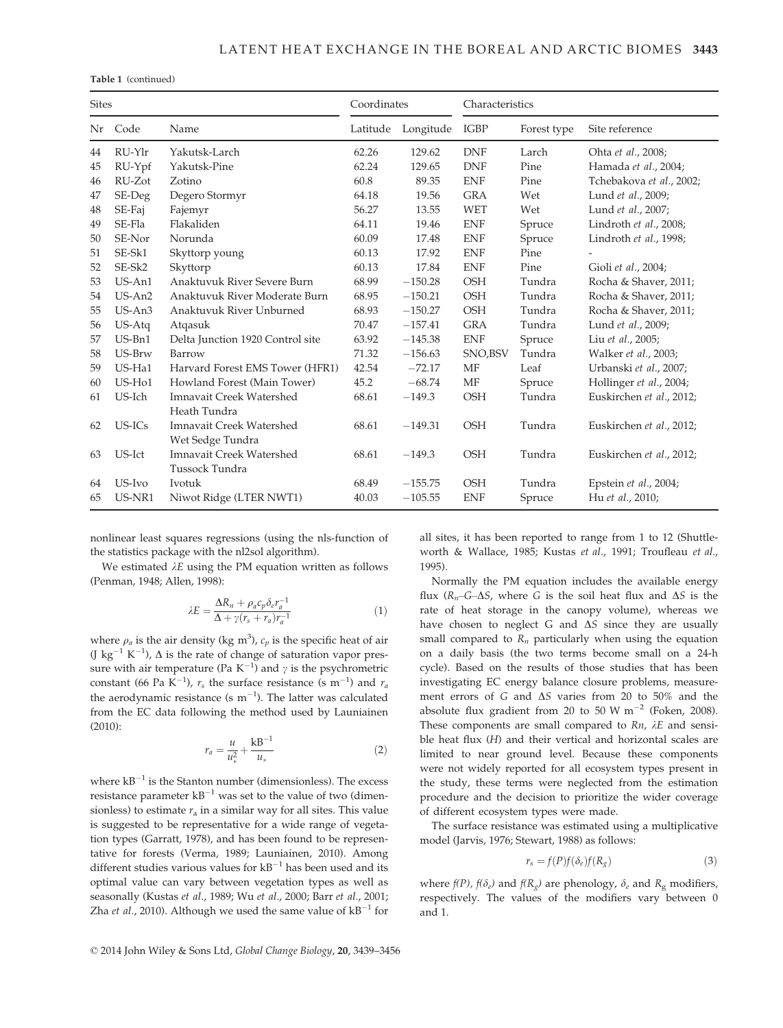| Table 1 (continued) |  |  |
|---------------------|--|--|
|---------------------|--|--|

| <b>Sites</b> |          | Coordinates                      |          | Characteristics          |            |             |                          |  |
|--------------|----------|----------------------------------|----------|--------------------------|------------|-------------|--------------------------|--|
| Nr.          | Code     | Name                             | Latitude | <b>IGBP</b><br>Longitude |            | Forest type | Site reference           |  |
| 44           | RU-Ylr   | Yakutsk-Larch                    | 62.26    | 129.62                   | <b>DNF</b> | Larch       | Ohta et al., 2008;       |  |
| 45           | RU-Ypf   | Yakutsk-Pine                     | 62.24    | 129.65                   | <b>DNF</b> | Pine        | Hamada et al., 2004;     |  |
| 46           | RU-Zot   | Zotino                           | 60.8     | 89.35                    | <b>ENF</b> | Pine        | Tchebakova et al., 2002; |  |
| 47           | SE-Deg   | Degero Stormyr                   | 64.18    | 19.56                    | <b>GRA</b> | Wet         | Lund et al., 2009;       |  |
| 48           | SE-Faj   | Fajemyr                          | 56.27    | 13.55                    | WET        | Wet         | Lund et al., 2007;       |  |
| 49           | SE-Fla   | Flakaliden                       | 64.11    | 19.46                    | <b>ENF</b> | Spruce      | Lindroth et al., 2008;   |  |
| 50           | SE-Nor   | Norunda                          | 60.09    | 17.48                    | <b>ENF</b> | Spruce      | Lindroth et al., 1998;   |  |
| 51           | SE-Sk1   | Skyttorp young                   | 60.13    | 17.92                    | <b>ENF</b> | Pine        |                          |  |
| 52           | SE-Sk2   | Skyttorp                         | 60.13    | 17.84                    | <b>ENF</b> | Pine        | Gioli et al., 2004;      |  |
| 53           | $US-An1$ | Anaktuvuk River Severe Burn      | 68.99    | $-150.28$                | <b>OSH</b> | Tundra      | Rocha & Shaver, 2011;    |  |
| 54           | $US-An2$ | Anaktuvuk River Moderate Burn    | 68.95    | $-150.21$                | <b>OSH</b> | Tundra      | Rocha & Shaver, 2011;    |  |
| 55           | $US-An3$ | Anaktuvuk River Unburned         | 68.93    | $-150.27$                | <b>OSH</b> | Tundra      | Rocha & Shaver, 2011;    |  |
| 56           | US-Atq   | Atqasuk                          | 70.47    | $-157.41$                | <b>GRA</b> | Tundra      | Lund et al., 2009;       |  |
| 57           | $US-Bn1$ | Delta Junction 1920 Control site | 63.92    | $-145.38$                | <b>ENF</b> | Spruce      | Liu et al., 2005;        |  |
| 58           | US-Brw   | Barrow                           | 71.32    | $-156.63$                | SNO,BSV    | Tundra      | Walker et al., 2003;     |  |
| 59           | US-Ha1   | Harvard Forest EMS Tower (HFR1)  | 42.54    | $-72.17$                 | MF         | Leaf        | Urbanski et al., 2007;   |  |
| 60           | US-Ho1   | Howland Forest (Main Tower)      | 45.2     | $-68.74$                 | MF         | Spruce      | Hollinger et al., 2004;  |  |
| 61           | US-Ich   | Imnavait Creek Watershed         | 68.61    | $-149.3$                 | <b>OSH</b> | Tundra      | Euskirchen et al., 2012; |  |
|              |          | Heath Tundra                     |          |                          |            |             |                          |  |
| 62           | US-ICs   | Imnavait Creek Watershed         | 68.61    | $-149.31$                | <b>OSH</b> | Tundra      | Euskirchen et al., 2012; |  |
|              |          | Wet Sedge Tundra                 |          |                          |            |             |                          |  |
| 63           | US-Ict   | Imnavait Creek Watershed         | 68.61    | $-149.3$                 | <b>OSH</b> | Tundra      | Euskirchen et al., 2012; |  |
|              |          | Tussock Tundra                   |          |                          |            |             |                          |  |
| 64           | US-Ivo   | Ivotuk                           | 68.49    | $-155.75$                | <b>OSH</b> | Tundra      | Epstein et al., 2004;    |  |
| 65           | US-NR1   | Niwot Ridge (LTER NWT1)          | 40.03    | $-105.55$                | <b>ENF</b> | Spruce      | Hu et al., 2010;         |  |

nonlinear least squares regressions (using the nls-function of the statistics package with the nl2sol algorithm).

We estimated  $\lambda E$  using the PM equation written as follows (Penman, 1948; Allen, 1998):

$$
\lambda E = \frac{\Delta R_n + \rho_a c_p \delta_e r_a^{-1}}{\Delta + \gamma (r_s + r_a) r_a^{-1}} \tag{1}
$$

where  $\rho_a$  is the air density (kg m<sup>3</sup>),  $c_p$  is the specific heat of air (J kg<sup>-1</sup> K<sup>-1</sup>),  $\Delta$  is the rate of change of saturation vapor pressure with air temperature (Pa  $K^{-1}$ ) and  $\gamma$  is the psychrometric constant (66 Pa K<sup>-1</sup>),  $r_s$  the surface resistance (s m<sup>-1</sup>) and  $r_a$ the aerodynamic resistance (s  $m^{-1}$ ). The latter was calculated from the EC data following the method used by Launiainen (2010):

$$
r_a = \frac{u}{u_*^2} + \frac{\text{kB}^{-1}}{u_*} \tag{2}
$$

where  $kB^{-1}$  is the Stanton number (dimensionless). The excess resistance parameter  $kB^{-1}$  was set to the value of two (dimensionless) to estimate  $r_a$  in a similar way for all sites. This value is suggested to be representative for a wide range of vegetation types (Garratt, 1978), and has been found to be representative for forests (Verma, 1989; Launiainen, 2010). Among different studies various values for  $kB^{-1}$  has been used and its optimal value can vary between vegetation types as well as seasonally (Kustas et al., 1989; Wu et al., 2000; Barr et al., 2001; Zha et al., 2010). Although we used the same value of  $kB^{-1}$  for

all sites, it has been reported to range from 1 to 12 (Shuttleworth & Wallace, 1985; Kustas et al., 1991; Troufleau et al., 1995).

Normally the PM equation includes the available energy flux  $(R_n-G-\Delta S)$ , where G is the soil heat flux and  $\Delta S$  is the rate of heat storage in the canopy volume), whereas we have chosen to neglect G and  $\Delta S$  since they are usually small compared to  $R_n$  particularly when using the equation on a daily basis (the two terms become small on a 24-h cycle). Based on the results of those studies that has been investigating EC energy balance closure problems, measurement errors of G and  $\Delta S$  varies from 20 to 50% and the absolute flux gradient from 20 to 50 W  $m^{-2}$  (Foken, 2008). These components are small compared to  $Rn$ ,  $\lambda E$  and sensible heat flux (H) and their vertical and horizontal scales are limited to near ground level. Because these components were not widely reported for all ecosystem types present in the study, these terms were neglected from the estimation procedure and the decision to prioritize the wider coverage of different ecosystem types were made.

The surface resistance was estimated using a multiplicative model (Jarvis, 1976; Stewart, 1988) as follows:

$$
r_s = f(P)f(\delta_e)f(R_g)
$$
\n(3)

where  $f(P)$ ,  $f(\delta_e)$  and  $f(R_e)$  are phenology,  $\delta_e$  and  $R_g$  modifiers, respectively. The values of the modifiers vary between 0 and 1.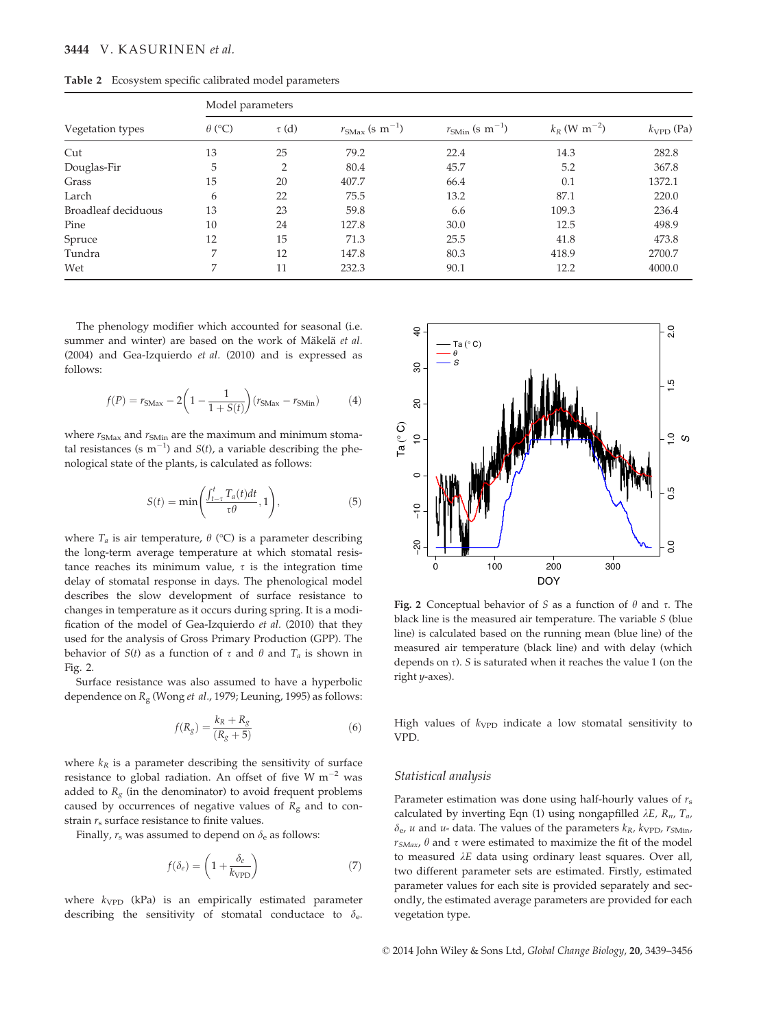|  |  |  |  |  | <b>Table 2</b> Ecosystem specific calibrated model parameters |
|--|--|--|--|--|---------------------------------------------------------------|
|--|--|--|--|--|---------------------------------------------------------------|

|                     | Model parameters |                |                                      |                                     |                            |                       |  |  |  |  |
|---------------------|------------------|----------------|--------------------------------------|-------------------------------------|----------------------------|-----------------------|--|--|--|--|
| Vegetation types    | $\theta$ (°C)    | $\tau$ (d)     | $r_{\rm{SMax}}$ (s m <sup>-1</sup> ) | $r_{\rm SMin}$ (s m <sup>-1</sup> ) | $k_R$ (W m <sup>-2</sup> ) | $k_{\text{VPD}}$ (Pa) |  |  |  |  |
| Cut                 | 13               | 25             | 79.2                                 | 22.4                                | 14.3                       | 282.8                 |  |  |  |  |
| Douglas-Fir         | 5                | $\overline{2}$ | 80.4                                 | 45.7                                | 5.2                        | 367.8                 |  |  |  |  |
| Grass               | 15               | 20             | 407.7                                | 66.4                                | 0.1                        | 1372.1                |  |  |  |  |
| Larch               | 6                | 22             | 75.5                                 | 13.2                                | 87.1                       | 220.0                 |  |  |  |  |
| Broadleaf deciduous | 13               | 23             | 59.8                                 | 6.6                                 | 109.3                      | 236.4                 |  |  |  |  |
| Pine                | 10               | 24             | 127.8                                | 30.0                                | 12.5                       | 498.9                 |  |  |  |  |
| Spruce              | 12               | 15             | 71.3                                 | 25.5                                | 41.8                       | 473.8                 |  |  |  |  |
| Tundra              | 7                | 12             | 147.8                                | 80.3                                | 418.9                      | 2700.7                |  |  |  |  |
| Wet                 | 7                | 11             | 232.3                                | 90.1                                | 12.2                       | 4000.0                |  |  |  |  |

The phenology modifier which accounted for seasonal (i.e. summer and winter) are based on the work of Mäkelä et al. (2004) and Gea-Izquierdo et al. (2010) and is expressed as follows:

$$
f(P) = r_{\text{SMax}} - 2\left(1 - \frac{1}{1 + S(t)}\right)(r_{\text{SMax}} - r_{\text{SMin}})
$$
 (4)

where  $r_{\rm SMA}$  and  $r_{\rm SMin}$  are the maximum and minimum stomatal resistances (s m<sup>-1</sup>) and  $S(t)$ , a variable describing the phenological state of the plants, is calculated as follows:

$$
S(t) = \min\left(\frac{\int_{t-\tau}^{t} T_a(t)dt}{\tau\theta}, 1\right),\tag{5}
$$

where  $T_a$  is air temperature,  $\theta$  (°C) is a parameter describing the long-term average temperature at which stomatal resistance reaches its minimum value,  $\tau$  is the integration time delay of stomatal response in days. The phenological model describes the slow development of surface resistance to changes in temperature as it occurs during spring. It is a modification of the model of Gea-Izquierdo et al. (2010) that they used for the analysis of Gross Primary Production (GPP). The behavior of  $S(t)$  as a function of  $\tau$  and  $\theta$  and  $T_a$  is shown in Fig. 2.

Surface resistance was also assumed to have a hyperbolic dependence on  $R_{\rm g}$  (Wong *et al.*, 1979; Leuning, 1995) as follows:

$$
f(R_g) = \frac{k_R + R_g}{(R_g + 5)}\tag{6}
$$

where  $k_R$  is a parameter describing the sensitivity of surface resistance to global radiation. An offset of five W  $m^{-2}$  was added to  $R_{\varphi}$  (in the denominator) to avoid frequent problems caused by occurrences of negative values of  $R_g$  and to constrain  $r<sub>s</sub>$  surface resistance to finite values.

Finally,  $r_s$  was assumed to depend on  $\delta_e$  as follows:

$$
f(\delta_e) = \left(1 + \frac{\delta_e}{k_{\text{VPD}}}\right) \tag{7}
$$

where  $k_{\text{VPD}}$  (kPa) is an empirically estimated parameter describing the sensitivity of stomatal conductace to  $\delta_e$ .



Fig. 2 Conceptual behavior of S as a function of  $\theta$  and  $\tau$ . The black line is the measured air temperature. The variable S (blue line) is calculated based on the running mean (blue line) of the measured air temperature (black line) and with delay (which depends on  $\tau$ ). S is saturated when it reaches the value 1 (on the right y-axes).

High values of  $k_{\text{VPD}}$  indicate a low stomatal sensitivity to VPD.

## Statistical analysis

Parameter estimation was done using half-hourly values of  $r_s$ calculated by inverting Eqn (1) using nongapfilled  $\lambda E$ ,  $R_n$ ,  $T_a$ ,  $\delta_{\rm e}$ , *u* and *u*\* data. The values of the parameters  $k_R$ ,  $k_{\rm VPD}$ ,  $r_{\rm SMin}$ ,  $r_{SMax}$ ,  $\theta$  and  $\tau$  were estimated to maximize the fit of the model to measured  $\lambda E$  data using ordinary least squares. Over all, two different parameter sets are estimated. Firstly, estimated parameter values for each site is provided separately and secondly, the estimated average parameters are provided for each vegetation type.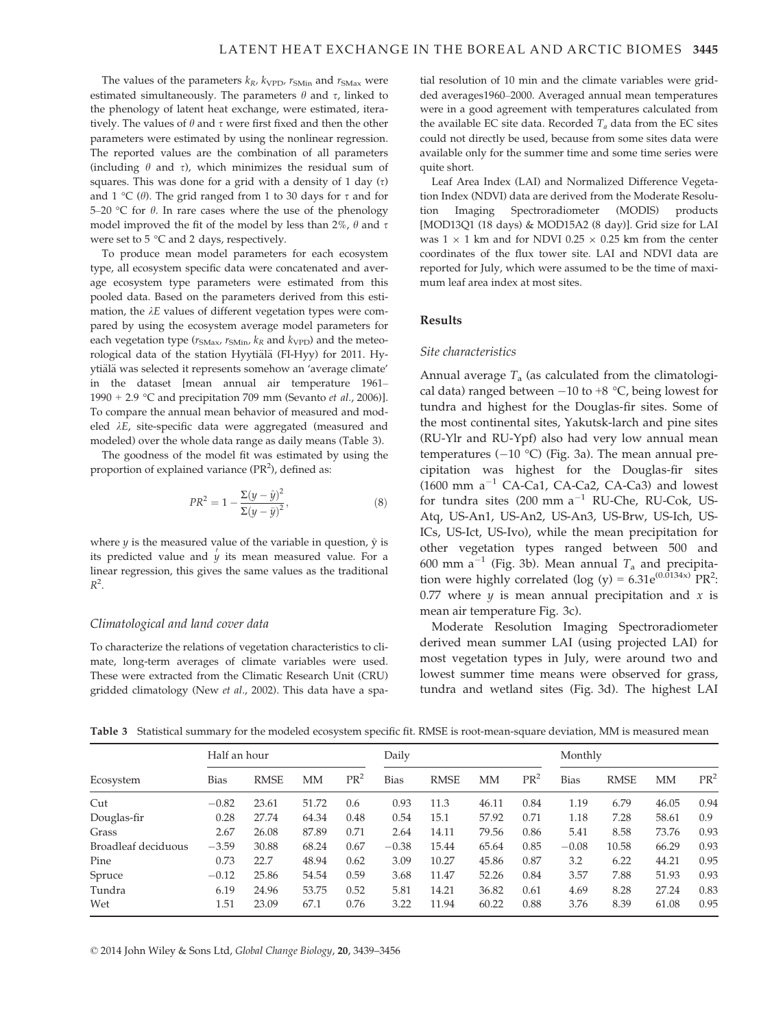The values of the parameters  $k_R$ ,  $k_{\text{VPD}}$ ,  $r_{\text{SMin}}$  and  $r_{\text{SMax}}$  were estimated simultaneously. The parameters  $\theta$  and  $\tau$ , linked to the phenology of latent heat exchange, were estimated, iteratively. The values of  $\theta$  and  $\tau$  were first fixed and then the other parameters were estimated by using the nonlinear regression. The reported values are the combination of all parameters (including  $\theta$  and  $\tau$ ), which minimizes the residual sum of squares. This was done for a grid with a density of 1 day  $(\tau)$ and 1 °C ( $\theta$ ). The grid ranged from 1 to 30 days for  $\tau$  and for 5–20 °C for  $\theta$ . In rare cases where the use of the phenology model improved the fit of the model by less than 2%,  $\theta$  and  $\tau$ were set to 5 °C and 2 days, respectively.

To produce mean model parameters for each ecosystem type, all ecosystem specific data were concatenated and average ecosystem type parameters were estimated from this pooled data. Based on the parameters derived from this estimation, the  $\lambda E$  values of different vegetation types were compared by using the ecosystem average model parameters for each vegetation type ( $r_{\text{SMax}}$ ,  $r_{\text{SMin}}$ ,  $k_R$  and  $k_{\text{VPD}}$ ) and the meteorological data of the station Hyytiälä (FI-Hyy) for 2011. Hyytiälä was selected it represents somehow an 'average climate' in the dataset [mean annual air temperature 1961– 1990 + 2.9 °C and precipitation 709 mm (Sevanto *et al.*, 2006)]. To compare the annual mean behavior of measured and modeled  $\lambda E$ , site-specific data were aggregated (measured and modeled) over the whole data range as daily means (Table 3).

The goodness of the model fit was estimated by using the proportion of explained variance  $(PR<sup>2</sup>)$ , defined as:

$$
PR^{2} = 1 - \frac{\Sigma(y - \hat{y})^{2}}{\Sigma(y - \bar{y})^{2}},
$$
\n(8)

where  $\psi$  is the measured value of the variable in question,  $\hat{v}$  is its predicted value and  $\hat{y}$  its mean measured value. For a linear regression, this gives the same values as the traditional  $R^2$ .

#### Climatological and land cover data

To characterize the relations of vegetation characteristics to climate, long-term averages of climate variables were used. These were extracted from the Climatic Research Unit (CRU) gridded climatology (New et al., 2002). This data have a spatial resolution of 10 min and the climate variables were gridded averages1960–2000. Averaged annual mean temperatures were in a good agreement with temperatures calculated from the available EC site data. Recorded  $T_a$  data from the EC sites could not directly be used, because from some sites data were available only for the summer time and some time series were quite short.

Leaf Area Index (LAI) and Normalized Difference Vegetation Index (NDVI) data are derived from the Moderate Resolution Imaging Spectroradiometer (MODIS) products [MOD13Q1 (18 days) & MOD15A2 (8 day)]. Grid size for LAI was  $1 \times 1$  km and for NDVI 0.25  $\times$  0.25 km from the center coordinates of the flux tower site. LAI and NDVI data are reported for July, which were assumed to be the time of maximum leaf area index at most sites.

## Results

#### Site characteristics

Annual average  $T_a$  (as calculated from the climatological data) ranged between  $-10$  to  $+8$  °C, being lowest for tundra and highest for the Douglas-fir sites. Some of the most continental sites, Yakutsk-larch and pine sites (RU-Ylr and RU-Ypf) also had very low annual mean temperatures  $(-10 \degree C)$  (Fig. 3a). The mean annual precipitation was highest for the Douglas-fir sites  $(1600 \text{ mm a}^{-1}$  CA-Ca1, CA-Ca2, CA-Ca3) and lowest for tundra sites  $(200 \text{ mm a}^{-1} \text{ RU-Che}, \text{RU-Cok}, \text{US-} \text{Ceh})$ Atq, US-An1, US-An2, US-An3, US-Brw, US-Ich, US-ICs, US-Ict, US-Ivo), while the mean precipitation for other vegetation types ranged between 500 and 600 mm a<sup>-1</sup> (Fig. 3b). Mean annual  $T_a$  and precipitation were highly correlated (log (y) =  $6.31e^{(0.0134x)}$  PR<sup>2</sup>: 0.77 where  $y$  is mean annual precipitation and  $x$  is mean air temperature Fig. 3c).

Moderate Resolution Imaging Spectroradiometer derived mean summer LAI (using projected LAI) for most vegetation types in July, were around two and lowest summer time means were observed for grass, tundra and wetland sites (Fig. 3d). The highest LAI

Table 3 Statistical summary for the modeled ecosystem specific fit. RMSE is root-mean-square deviation, MM is measured mean

|                     | Half an hour |             |           |        | Daily       |             |       |        | Monthly     |             |       |                 |
|---------------------|--------------|-------------|-----------|--------|-------------|-------------|-------|--------|-------------|-------------|-------|-----------------|
| Ecosystem           | <b>Bias</b>  | <b>RMSE</b> | <b>MM</b> | $PR^2$ | <b>Bias</b> | <b>RMSE</b> | MM    | $PR^2$ | <b>Bias</b> | <b>RMSE</b> | MM    | PR <sup>2</sup> |
| Cut                 | $-0.82$      | 23.61       | 51.72     | 0.6    | 0.93        | 11.3        | 46.11 | 0.84   | 1.19        | 6.79        | 46.05 | 0.94            |
| Douglas-fir         | 0.28         | 27.74       | 64.34     | 0.48   | 0.54        | 15.1        | 57.92 | 0.71   | 1.18        | 7.28        | 58.61 | 0.9             |
| Grass               | 2.67         | 26.08       | 87.89     | 0.71   | 2.64        | 14.11       | 79.56 | 0.86   | 5.41        | 8.58        | 73.76 | 0.93            |
| Broadleaf deciduous | $-3.59$      | 30.88       | 68.24     | 0.67   | $-0.38$     | 15.44       | 65.64 | 0.85   | $-0.08$     | 10.58       | 66.29 | 0.93            |
| Pine                | 0.73         | 22.7        | 48.94     | 0.62   | 3.09        | 10.27       | 45.86 | 0.87   | 3.2         | 6.22        | 44.21 | 0.95            |
| Spruce              | $-0.12$      | 25.86       | 54.54     | 0.59   | 3.68        | 11.47       | 52.26 | 0.84   | 3.57        | 7.88        | 51.93 | 0.93            |
| Tundra              | 6.19         | 24.96       | 53.75     | 0.52   | 5.81        | 14.21       | 36.82 | 0.61   | 4.69        | 8.28        | 27.24 | 0.83            |
| Wet                 | 1.51         | 23.09       | 67.1      | 0.76   | 3.22        | 11.94       | 60.22 | 0.88   | 3.76        | 8.39        | 61.08 | 0.95            |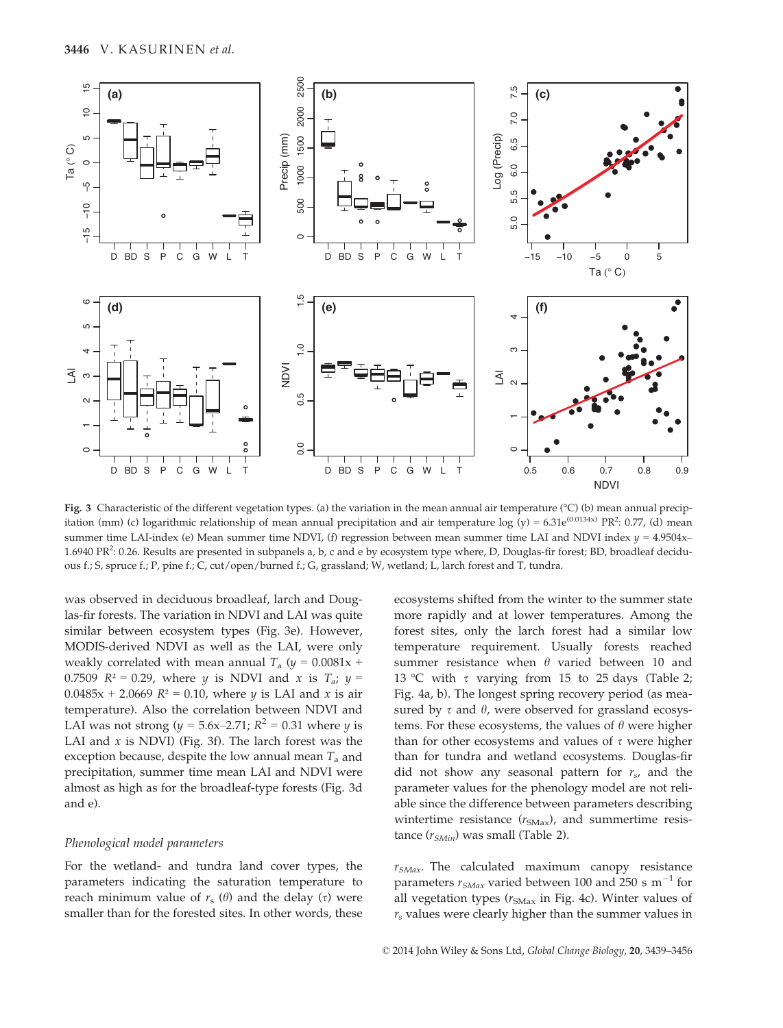

Fig. 3 Characteristic of the different vegetation types. (a) the variation in the mean annual air temperature (°C) (b) mean annual precipitation (mm) (c) logarithmic relationship of mean annual precipitation and air temperature log (y) = 6.31e $^{(0.0134x)}$  PR<sup>2</sup>: 0.77, (d) mean summer time LAI-index (e) Mean summer time NDVI, (f) regression between mean summer time LAI and NDVI index  $y = 4.9504x-$ 1.6940 PR<sup>2</sup>: 0.26. Results are presented in subpanels a, b, c and e by ecosystem type where, D, Douglas-fir forest; BD, broadleaf deciduous f.; S, spruce f.; P, pine f.; C, cut/open/burned f.; G, grassland; W, wetland; L, larch forest and T, tundra.

was observed in deciduous broadleaf, larch and Douglas-fir forests. The variation in NDVI and LAI was quite similar between ecosystem types (Fig. 3e). However, MODIS-derived NDVI as well as the LAI, were only weakly correlated with mean annual  $T_a$  ( $y = 0.0081x +$ 0.7509  $R^2 = 0.29$ , where y is NDVI and x is  $T_a$ ;  $y =$  $0.0485x + 2.0669$   $R^2 = 0.10$ , where *y* is LAI and *x* is air temperature). Also the correlation between NDVI and LAI was not strong ( $y = 5.6x-2.71$ ;  $R^2 = 0.31$  where y is LAI and  $x$  is NDVI) (Fig. 3f). The larch forest was the exception because, despite the low annual mean  $T_a$  and precipitation, summer time mean LAI and NDVI were almost as high as for the broadleaf-type forests (Fig. 3d and e).

## Phenological model parameters

For the wetland- and tundra land cover types, the parameters indicating the saturation temperature to reach minimum value of  $r_s$  ( $\theta$ ) and the delay ( $\tau$ ) were smaller than for the forested sites. In other words, these ecosystems shifted from the winter to the summer state more rapidly and at lower temperatures. Among the forest sites, only the larch forest had a similar low temperature requirement. Usually forests reached summer resistance when  $\theta$  varied between 10 and 13 °C with  $\tau$  varying from 15 to 25 days (Table 2; Fig. 4a, b). The longest spring recovery period (as measured by  $\tau$  and  $\theta$ , were observed for grassland ecosystems. For these ecosystems, the values of  $\theta$  were higher than for other ecosystems and values of  $\tau$  were higher than for tundra and wetland ecosystems. Douglas-fir did not show any seasonal pattern for  $r<sub>s</sub>$ , and the parameter values for the phenology model are not reliable since the difference between parameters describing wintertime resistance  $(r<sub>SMax</sub>)$ , and summertime resistance  $(r_{SMin})$  was small (Table 2).

 $r_{SMax}$ . The calculated maximum canopy resistance parameters  $r_{SMax}$  varied between 100 and 250 s m<sup>-1</sup> for all vegetation types  $(r<sub>SMax</sub>$  in Fig. 4c). Winter values of  $r<sub>s</sub>$  values were clearly higher than the summer values in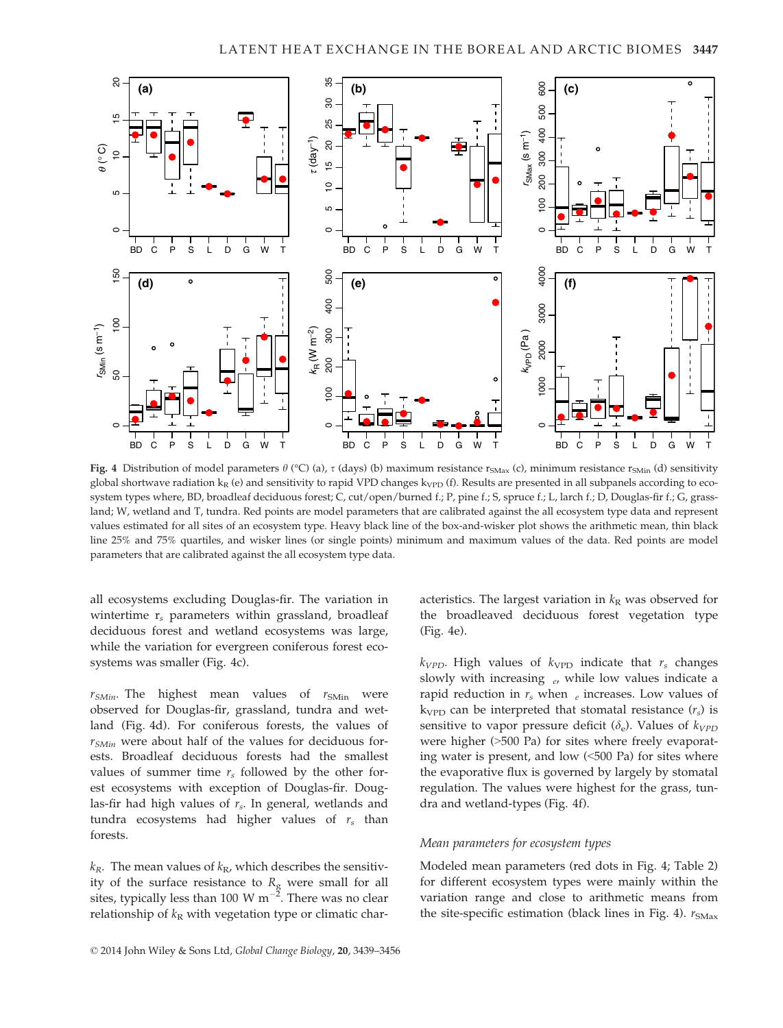

Fig. 4 Distribution of model parameters  $\theta$  (°C) (a),  $\tau$  (days) (b) maximum resistance r<sub>SMax</sub> (c), minimum resistance r<sub>SMin</sub> (d) sensitivity global shortwave radiation  $k_R$  (e) and sensitivity to rapid VPD changes  $k_{VPD}$  (f). Results are presented in all subpanels according to ecosystem types where, BD, broadleaf deciduous forest; C, cut/open/burned f.; P, pine f.; S, spruce f.; L, larch f.; D, Douglas-fir f.; G, grassland; W, wetland and T, tundra. Red points are model parameters that are calibrated against the all ecosystem type data and represent values estimated for all sites of an ecosystem type. Heavy black line of the box-and-wisker plot shows the arithmetic mean, thin black line 25% and 75% quartiles, and wisker lines (or single points) minimum and maximum values of the data. Red points are model parameters that are calibrated against the all ecosystem type data.

all ecosystems excluding Douglas-fir. The variation in wintertime  $r_s$  parameters within grassland, broadleaf deciduous forest and wetland ecosystems was large, while the variation for evergreen coniferous forest ecosystems was smaller (Fig. 4c).

 $r_{SMin}$ . The highest mean values of  $r_{SMin}$  were observed for Douglas-fir, grassland, tundra and wetland (Fig. 4d). For coniferous forests, the values of  $r_{SMin}$  were about half of the values for deciduous forests. Broadleaf deciduous forests had the smallest values of summer time  $r_s$  followed by the other forest ecosystems with exception of Douglas-fir. Douglas-fir had high values of  $r<sub>s</sub>$ . In general, wetlands and tundra ecosystems had higher values of  $r_s$  than forests.

 $k_R$ . The mean values of  $k_R$ , which describes the sensitivity of the surface resistance to  $R_{\rm g}$  were small for all sites, typically less than 100 W  $m^{-2}$ . There was no clear relationship of  $k_R$  with vegetation type or climatic characteristics. The largest variation in  $k<sub>R</sub>$  was observed for the broadleaved deciduous forest vegetation type (Fig. 4e).

 $k_{VPD}$ . High values of  $k_{VPD}$  indicate that  $r_s$  changes slowly with increasing  $_{e}$ , while low values indicate a rapid reduction in  $r_s$  when  $_e$  increases. Low values of  $k_{VPD}$  can be interpreted that stomatal resistance  $(r_s)$  is sensitive to vapor pressure deficit  $(\delta_e)$ . Values of  $k_{VPD}$ were higher (>500 Pa) for sites where freely evaporating water is present, and low (<500 Pa) for sites where the evaporative flux is governed by largely by stomatal regulation. The values were highest for the grass, tundra and wetland-types (Fig. 4f).

## Mean parameters for ecosystem types

Modeled mean parameters (red dots in Fig. 4; Table 2) for different ecosystem types were mainly within the variation range and close to arithmetic means from the site-specific estimation (black lines in Fig. 4).  $r_{\rm SMax}$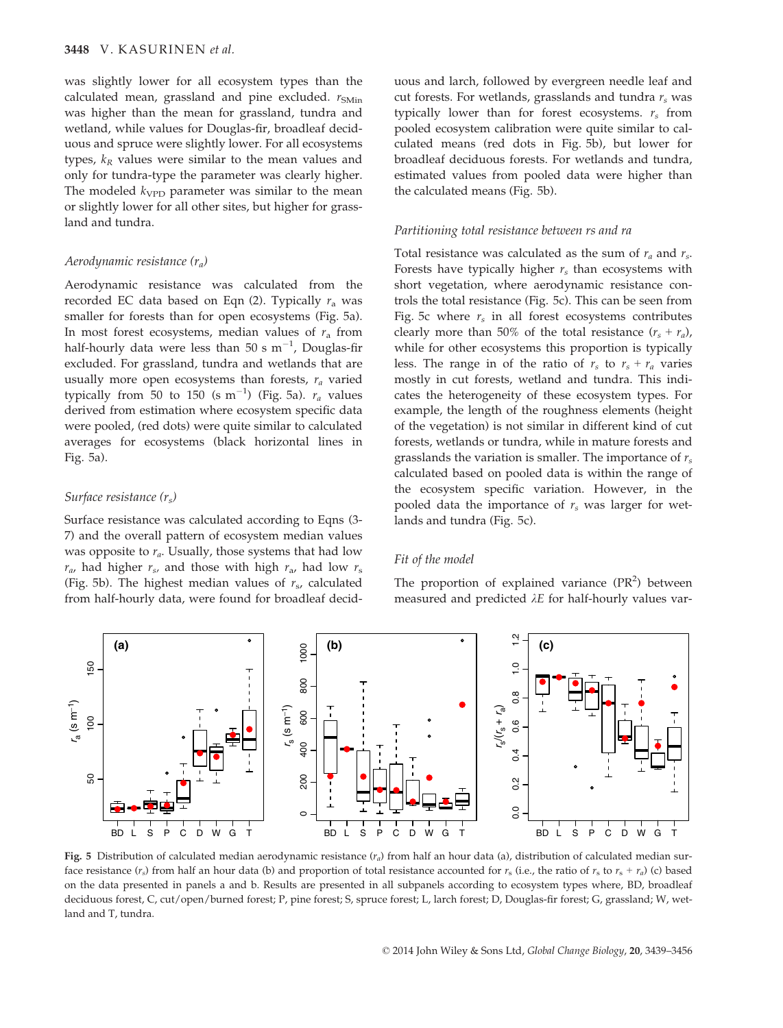was slightly lower for all ecosystem types than the calculated mean, grassland and pine excluded.  $r_{\text{SMin}}$ was higher than the mean for grassland, tundra and wetland, while values for Douglas-fir, broadleaf deciduous and spruce were slightly lower. For all ecosystems types,  $k_R$  values were similar to the mean values and only for tundra-type the parameter was clearly higher. The modeled  $k_{\text{VPD}}$  parameter was similar to the mean or slightly lower for all other sites, but higher for grassland and tundra.

## Aerodynamic resistance  $(r_a)$

Aerodynamic resistance was calculated from the recorded EC data based on Eqn (2). Typically  $r_a$  was smaller for forests than for open ecosystems (Fig. 5a). In most forest ecosystems, median values of  $r_a$  from half-hourly data were less than 50 s  $\mathrm{m}^{-1}$ , Douglas-fir excluded. For grassland, tundra and wetlands that are usually more open ecosystems than forests,  $r_a$  varied typically from 50 to 150 (s  $m^{-1}$ ) (Fig. 5a).  $r_a$  values derived from estimation where ecosystem specific data were pooled, (red dots) were quite similar to calculated averages for ecosystems (black horizontal lines in Fig. 5a).

## Surface resistance  $(r_s)$

Surface resistance was calculated according to Eqns (3- 7) and the overall pattern of ecosystem median values was opposite to  $r_a$ . Usually, those systems that had low  $r_a$ , had higher  $r_s$ , and those with high  $r_a$ , had low  $r_s$ (Fig. 5b). The highest median values of  $r<sub>s</sub>$ , calculated from half-hourly data, were found for broadleaf deciduous and larch, followed by evergreen needle leaf and cut forests. For wetlands, grasslands and tundra  $r_s$  was typically lower than for forest ecosystems.  $r_s$  from pooled ecosystem calibration were quite similar to calculated means (red dots in Fig. 5b), but lower for broadleaf deciduous forests. For wetlands and tundra, estimated values from pooled data were higher than the calculated means (Fig. 5b).

## Partitioning total resistance between rs and ra

Total resistance was calculated as the sum of  $r_a$  and  $r_s$ . Forests have typically higher  $r_s$  than ecosystems with short vegetation, where aerodynamic resistance controls the total resistance (Fig. 5c). This can be seen from Fig. 5c where  $r<sub>s</sub>$  in all forest ecosystems contributes clearly more than 50% of the total resistance  $(r_s + r_a)$ , while for other ecosystems this proportion is typically less. The range in of the ratio of  $r_s$  to  $r_s + r_a$  varies mostly in cut forests, wetland and tundra. This indicates the heterogeneity of these ecosystem types. For example, the length of the roughness elements (height of the vegetation) is not similar in different kind of cut forests, wetlands or tundra, while in mature forests and grasslands the variation is smaller. The importance of  $r_s$ calculated based on pooled data is within the range of the ecosystem specific variation. However, in the pooled data the importance of  $r<sub>s</sub>$  was larger for wetlands and tundra (Fig. 5c).

#### Fit of the model

The proportion of explained variance  $(PR^2)$  between measured and predicted  $\lambda E$  for half-hourly values var-



Fig. 5 Distribution of calculated median aerodynamic resistance  $(r_a)$  from half an hour data (a), distribution of calculated median surface resistance  $(r_s)$  from half an hour data (b) and proportion of total resistance accounted for  $r_s$  (i.e., the ratio of  $r_s$  to  $r_s + r_a$ ) (c) based on the data presented in panels a and b. Results are presented in all subpanels according to ecosystem types where, BD, broadleaf deciduous forest, C, cut/open/burned forest; P, pine forest; S, spruce forest; L, larch forest; D, Douglas-fir forest; G, grassland; W, wetland and T, tundra.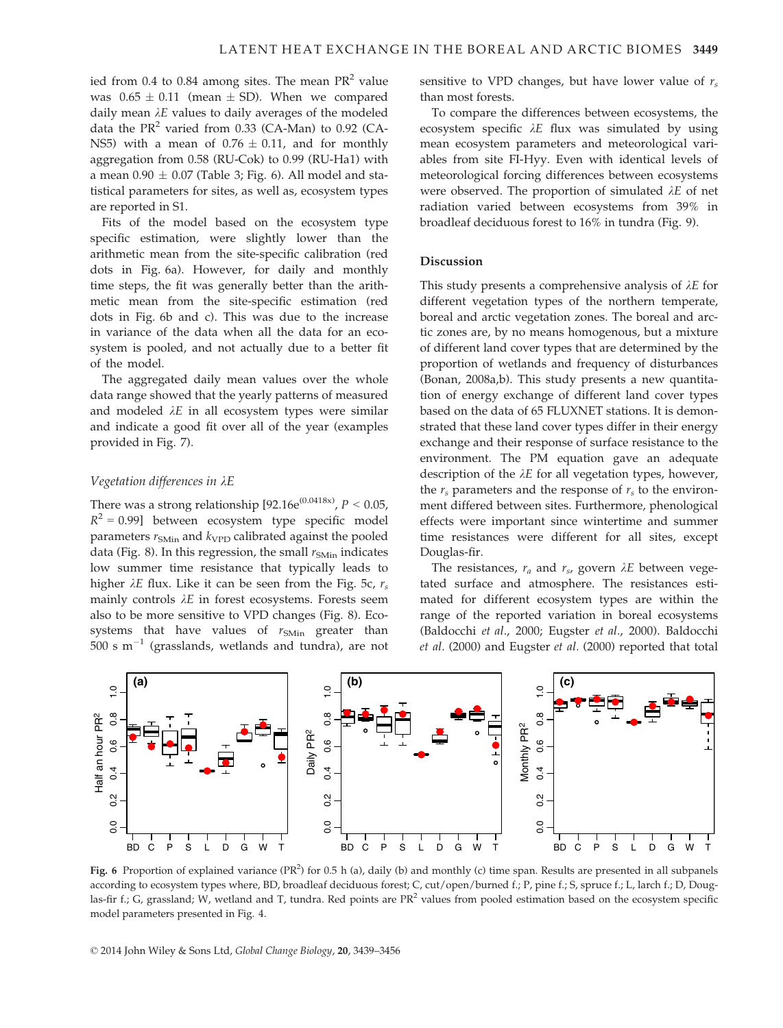ied from 0.4 to 0.84 among sites. The mean  $PR^2$  value was  $0.65 \pm 0.11$  (mean  $\pm$  SD). When we compared daily mean  $\lambda E$  values to daily averages of the modeled data the  $PR^2$  varied from 0.33 (CA-Man) to 0.92 (CA-NS5) with a mean of  $0.76 \pm 0.11$ , and for monthly aggregation from 0.58 (RU-Cok) to 0.99 (RU-Ha1) with a mean  $0.90 \pm 0.07$  (Table 3; Fig. 6). All model and statistical parameters for sites, as well as, ecosystem types are reported in S1.

Fits of the model based on the ecosystem type specific estimation, were slightly lower than the arithmetic mean from the site-specific calibration (red dots in Fig. 6a). However, for daily and monthly time steps, the fit was generally better than the arithmetic mean from the site-specific estimation (red dots in Fig. 6b and c). This was due to the increase in variance of the data when all the data for an ecosystem is pooled, and not actually due to a better fit of the model.

The aggregated daily mean values over the whole data range showed that the yearly patterns of measured and modeled  $\lambda E$  in all ecosystem types were similar and indicate a good fit over all of the year (examples provided in Fig. 7).

## Vegetation differences in  $\lambda E$

There was a strong relationship [92.16e $^{(0.0418x)}$ ,  $P < 0.05$ ,  $R^2 = 0.99$ ] between ecosystem type specific model parameters  $r<sub>SMin</sub>$  and  $k<sub>VPD</sub>$  calibrated against the pooled data (Fig. 8). In this regression, the small  $r_{SMin}$  indicates low summer time resistance that typically leads to higher  $\lambda E$  flux. Like it can be seen from the Fig. 5c,  $r_s$ mainly controls  $\lambda E$  in forest ecosystems. Forests seem also to be more sensitive to VPD changes (Fig. 8). Ecosystems that have values of  $r_{\text{SMin}}$  greater than  $500 \text{ s m}^{-1}$  (grasslands, wetlands and tundra), are not sensitive to VPD changes, but have lower value of  $r_s$ than most forests.

To compare the differences between ecosystems, the ecosystem specific  $\lambda E$  flux was simulated by using mean ecosystem parameters and meteorological variables from site FI-Hyy. Even with identical levels of meteorological forcing differences between ecosystems were observed. The proportion of simulated  $\lambda E$  of net radiation varied between ecosystems from 39% in broadleaf deciduous forest to 16% in tundra (Fig. 9).

## Discussion

This study presents a comprehensive analysis of  $\lambda E$  for different vegetation types of the northern temperate, boreal and arctic vegetation zones. The boreal and arctic zones are, by no means homogenous, but a mixture of different land cover types that are determined by the proportion of wetlands and frequency of disturbances (Bonan, 2008a,b). This study presents a new quantitation of energy exchange of different land cover types based on the data of 65 FLUXNET stations. It is demonstrated that these land cover types differ in their energy exchange and their response of surface resistance to the environment. The PM equation gave an adequate description of the  $\lambda E$  for all vegetation types, however, the  $r_s$  parameters and the response of  $r_s$  to the environment differed between sites. Furthermore, phenological effects were important since wintertime and summer time resistances were different for all sites, except Douglas-fir.

The resistances,  $r_a$  and  $r_s$ , govern  $\lambda E$  between vegetated surface and atmosphere. The resistances estimated for different ecosystem types are within the range of the reported variation in boreal ecosystems (Baldocchi et al., 2000; Eugster et al., 2000). Baldocchi et al. (2000) and Eugster et al. (2000) reported that total



Fig. 6 Proportion of explained variance (PR<sup>2</sup>) for 0.5 h (a), daily (b) and monthly (c) time span. Results are presented in all subpanels according to ecosystem types where, BD, broadleaf deciduous forest; C, cut/open/burned f.; P, pine f.; S, spruce f.; L, larch f.; D, Douglas-fir f.; G, grassland; W, wetland and T, tundra. Red points are  $PR<sup>2</sup>$  values from pooled estimation based on the ecosystem specific model parameters presented in Fig. 4.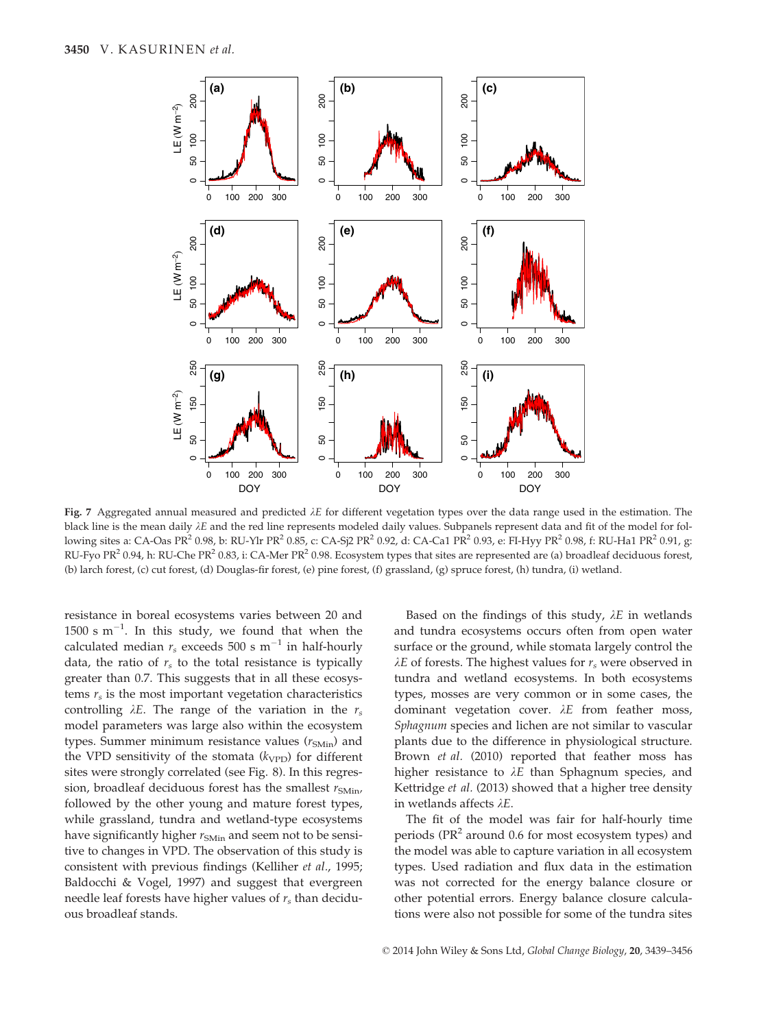

Fig. 7 Aggregated annual measured and predicted  $\lambda E$  for different vegetation types over the data range used in the estimation. The black line is the mean daily  $\lambda E$  and the red line represents modeled daily values. Subpanels represent data and fit of the model for following sites a: CA-Oas PR<sup>2</sup> 0.98, b: RU-Ylr PR<sup>2</sup> 0.85, c: CA-Sj2 PR<sup>2</sup> 0.92, d: CA-Ca1 PR<sup>2</sup> 0.93, e: FI-Hyy PR<sup>2</sup> 0.98, f: RU-Ha1 PR<sup>2</sup> 0.91, g: RU-Fyo PR<sup>2</sup> 0.94, h: RU-Che PR<sup>2</sup> 0.83, i: CA-Mer PR<sup>2</sup> 0.98. Ecosystem types that sites are represented are (a) broadleaf deciduous forest, (b) larch forest, (c) cut forest, (d) Douglas-fir forest, (e) pine forest, (f) grassland, (g) spruce forest, (h) tundra, (i) wetland.

resistance in boreal ecosystems varies between 20 and 1500 s  $m^{-1}$ . In this study, we found that when the calculated median  $r_s$  exceeds 500 s m<sup>-1</sup> in half-hourly data, the ratio of  $r<sub>s</sub>$  to the total resistance is typically greater than 0.7. This suggests that in all these ecosystems  $r<sub>s</sub>$  is the most important vegetation characteristics controlling  $\lambda E$ . The range of the variation in the  $r_s$ model parameters was large also within the ecosystem types. Summer minimum resistance values  $(r<sub>SMin</sub>)$  and the VPD sensitivity of the stomata  $(k_{\text{VPD}})$  for different sites were strongly correlated (see Fig. 8). In this regression, broadleaf deciduous forest has the smallest  $r_{\text{SMin}}$ , followed by the other young and mature forest types, while grassland, tundra and wetland-type ecosystems have significantly higher  $r<sub>SMin</sub>$  and seem not to be sensitive to changes in VPD. The observation of this study is consistent with previous findings (Kelliher et al., 1995; Baldocchi & Vogel, 1997) and suggest that evergreen needle leaf forests have higher values of  $r<sub>s</sub>$  than deciduous broadleaf stands.

Based on the findings of this study,  $\lambda E$  in wetlands and tundra ecosystems occurs often from open water surface or the ground, while stomata largely control the  $\lambda E$  of forests. The highest values for  $r_s$  were observed in tundra and wetland ecosystems. In both ecosystems types, mosses are very common or in some cases, the dominant vegetation cover.  $\lambda E$  from feather moss, Sphagnum species and lichen are not similar to vascular plants due to the difference in physiological structure. Brown et al. (2010) reported that feather moss has higher resistance to  $\lambda E$  than Sphagnum species, and Kettridge et al. (2013) showed that a higher tree density in wetlands affects  $\lambda E$ .

The fit of the model was fair for half-hourly time periods ( $PR<sup>2</sup>$  around 0.6 for most ecosystem types) and the model was able to capture variation in all ecosystem types. Used radiation and flux data in the estimation was not corrected for the energy balance closure or other potential errors. Energy balance closure calculations were also not possible for some of the tundra sites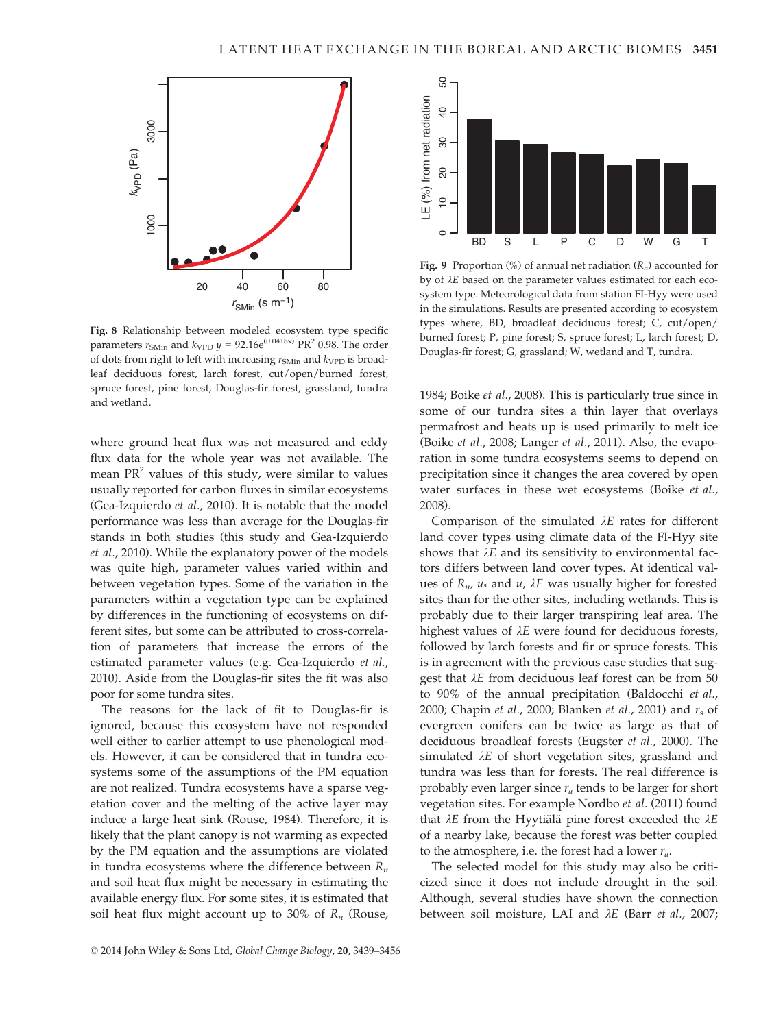

Fig. 8 Relationship between modeled ecosystem type specific parameters  $r<sub>SMin</sub>$  and  $k<sub>VPD</sub>$  y = 92.16e<sup>(0.0418x)</sup> PR<sup>2</sup> 0.98. The order of dots from right to left with increasing  $r<sub>SMin</sub>$  and  $k<sub>VPD</sub>$  is broadleaf deciduous forest, larch forest, cut/open/burned forest, spruce forest, pine forest, Douglas-fir forest, grassland, tundra and wetland.

where ground heat flux was not measured and eddy flux data for the whole year was not available. The mean PR<sup>2</sup> values of this study, were similar to values usually reported for carbon fluxes in similar ecosystems (Gea-Izquierdo et al., 2010). It is notable that the model performance was less than average for the Douglas-fir stands in both studies (this study and Gea-Izquierdo et al., 2010). While the explanatory power of the models was quite high, parameter values varied within and between vegetation types. Some of the variation in the parameters within a vegetation type can be explained by differences in the functioning of ecosystems on different sites, but some can be attributed to cross-correlation of parameters that increase the errors of the estimated parameter values (e.g. Gea-Izquierdo et al., 2010). Aside from the Douglas-fir sites the fit was also poor for some tundra sites.

The reasons for the lack of fit to Douglas-fir is ignored, because this ecosystem have not responded well either to earlier attempt to use phenological models. However, it can be considered that in tundra ecosystems some of the assumptions of the PM equation are not realized. Tundra ecosystems have a sparse vegetation cover and the melting of the active layer may induce a large heat sink (Rouse, 1984). Therefore, it is likely that the plant canopy is not warming as expected by the PM equation and the assumptions are violated in tundra ecosystems where the difference between  $R_n$ and soil heat flux might be necessary in estimating the available energy flux. For some sites, it is estimated that soil heat flux might account up to 30% of  $R_n$  (Rouse,



**Fig. 9** Proportion (%) of annual net radiation ( $R_n$ ) accounted for by of  $\lambda E$  based on the parameter values estimated for each ecosystem type. Meteorological data from station FI-Hyy were used in the simulations. Results are presented according to ecosystem types where, BD, broadleaf deciduous forest; C, cut/open/ burned forest; P, pine forest; S, spruce forest; L, larch forest; D, Douglas-fir forest; G, grassland; W, wetland and T, tundra.

1984; Boike et al., 2008). This is particularly true since in some of our tundra sites a thin layer that overlays permafrost and heats up is used primarily to melt ice (Boike et al., 2008; Langer et al., 2011). Also, the evaporation in some tundra ecosystems seems to depend on precipitation since it changes the area covered by open water surfaces in these wet ecosystems (Boike et al., 2008).

Comparison of the simulated  $\lambda E$  rates for different land cover types using climate data of the FI-Hyy site shows that  $\lambda E$  and its sensitivity to environmental factors differs between land cover types. At identical values of  $R_n$ ,  $u_*$  and  $u$ ,  $\lambda E$  was usually higher for forested sites than for the other sites, including wetlands. This is probably due to their larger transpiring leaf area. The highest values of  $\lambda E$  were found for deciduous forests, followed by larch forests and fir or spruce forests. This is in agreement with the previous case studies that suggest that  $\lambda E$  from deciduous leaf forest can be from 50 to 90% of the annual precipitation (Baldocchi et al., 2000; Chapin et al., 2000; Blanken et al., 2001) and  $r_s$  of evergreen conifers can be twice as large as that of deciduous broadleaf forests (Eugster et al., 2000). The simulated  $\lambda E$  of short vegetation sites, grassland and tundra was less than for forests. The real difference is probably even larger since  $r_a$  tends to be larger for short vegetation sites. For example Nordbo et al. (2011) found that  $\lambda E$  from the Hyytiälä pine forest exceeded the  $\lambda E$ of a nearby lake, because the forest was better coupled to the atmosphere, i.e. the forest had a lower  $r_a$ .

The selected model for this study may also be criticized since it does not include drought in the soil. Although, several studies have shown the connection between soil moisture, LAI and  $\lambda E$  (Barr et al., 2007;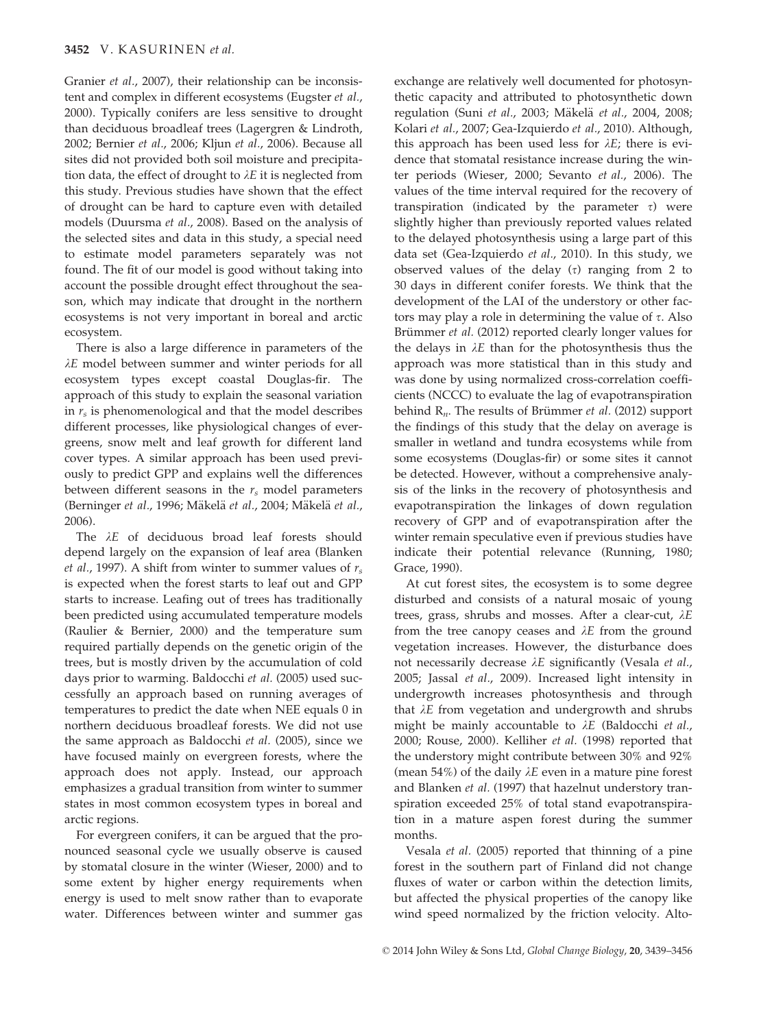Granier et al., 2007), their relationship can be inconsistent and complex in different ecosystems (Eugster et al., 2000). Typically conifers are less sensitive to drought than deciduous broadleaf trees (Lagergren & Lindroth, 2002; Bernier et al., 2006; Kljun et al., 2006). Because all sites did not provided both soil moisture and precipitation data, the effect of drought to  $\lambda E$  it is neglected from this study. Previous studies have shown that the effect of drought can be hard to capture even with detailed models (Duursma et al., 2008). Based on the analysis of the selected sites and data in this study, a special need to estimate model parameters separately was not found. The fit of our model is good without taking into account the possible drought effect throughout the season, which may indicate that drought in the northern ecosystems is not very important in boreal and arctic ecosystem.

There is also a large difference in parameters of the  $\lambda E$  model between summer and winter periods for all ecosystem types except coastal Douglas-fir. The approach of this study to explain the seasonal variation in  $r<sub>s</sub>$  is phenomenological and that the model describes different processes, like physiological changes of evergreens, snow melt and leaf growth for different land cover types. A similar approach has been used previously to predict GPP and explains well the differences between different seasons in the  $r_s$  model parameters (Berninger et al., 1996; Mäkelä et al., 2004; Mäkelä et al., 2006).

The  $\lambda E$  of deciduous broad leaf forests should depend largely on the expansion of leaf area (Blanken *et al.*, 1997). A shift from winter to summer values of  $r_s$ is expected when the forest starts to leaf out and GPP starts to increase. Leafing out of trees has traditionally been predicted using accumulated temperature models (Raulier & Bernier, 2000) and the temperature sum required partially depends on the genetic origin of the trees, but is mostly driven by the accumulation of cold days prior to warming. Baldocchi et al. (2005) used successfully an approach based on running averages of temperatures to predict the date when NEE equals 0 in northern deciduous broadleaf forests. We did not use the same approach as Baldocchi et al. (2005), since we have focused mainly on evergreen forests, where the approach does not apply. Instead, our approach emphasizes a gradual transition from winter to summer states in most common ecosystem types in boreal and arctic regions.

For evergreen conifers, it can be argued that the pronounced seasonal cycle we usually observe is caused by stomatal closure in the winter (Wieser, 2000) and to some extent by higher energy requirements when energy is used to melt snow rather than to evaporate water. Differences between winter and summer gas exchange are relatively well documented for photosynthetic capacity and attributed to photosynthetic down regulation (Suni et al., 2003; Mäkelä et al., 2004, 2008; Kolari et al., 2007; Gea-Izquierdo et al., 2010). Although, this approach has been used less for  $\lambda E$ ; there is evidence that stomatal resistance increase during the winter periods (Wieser, 2000; Sevanto et al., 2006). The values of the time interval required for the recovery of transpiration (indicated by the parameter  $\tau$ ) were slightly higher than previously reported values related to the delayed photosynthesis using a large part of this data set (Gea-Izquierdo et al., 2010). In this study, we observed values of the delay  $(\tau)$  ranging from 2 to 30 days in different conifer forests. We think that the development of the LAI of the understory or other factors may play a role in determining the value of  $\tau$ . Also Brümmer et al. (2012) reported clearly longer values for the delays in  $\lambda E$  than for the photosynthesis thus the approach was more statistical than in this study and was done by using normalized cross-correlation coefficients (NCCC) to evaluate the lag of evapotranspiration behind  $R_n$ . The results of Brümmer *et al.* (2012) support the findings of this study that the delay on average is smaller in wetland and tundra ecosystems while from some ecosystems (Douglas-fir) or some sites it cannot be detected. However, without a comprehensive analysis of the links in the recovery of photosynthesis and evapotranspiration the linkages of down regulation recovery of GPP and of evapotranspiration after the winter remain speculative even if previous studies have indicate their potential relevance (Running, 1980; Grace, 1990).

At cut forest sites, the ecosystem is to some degree disturbed and consists of a natural mosaic of young trees, grass, shrubs and mosses. After a clear-cut,  $\lambda E$ from the tree canopy ceases and  $\lambda E$  from the ground vegetation increases. However, the disturbance does not necessarily decrease  $\lambda E$  significantly (Vesala et al., 2005; Jassal et al., 2009). Increased light intensity in undergrowth increases photosynthesis and through that  $\lambda E$  from vegetation and undergrowth and shrubs might be mainly accountable to  $\lambda E$  (Baldocchi *et al.*, 2000; Rouse, 2000). Kelliher et al. (1998) reported that the understory might contribute between 30% and 92% (mean 54%) of the daily  $\lambda E$  even in a mature pine forest and Blanken et al. (1997) that hazelnut understory transpiration exceeded 25% of total stand evapotranspiration in a mature aspen forest during the summer months.

Vesala et al. (2005) reported that thinning of a pine forest in the southern part of Finland did not change fluxes of water or carbon within the detection limits, but affected the physical properties of the canopy like wind speed normalized by the friction velocity. Alto-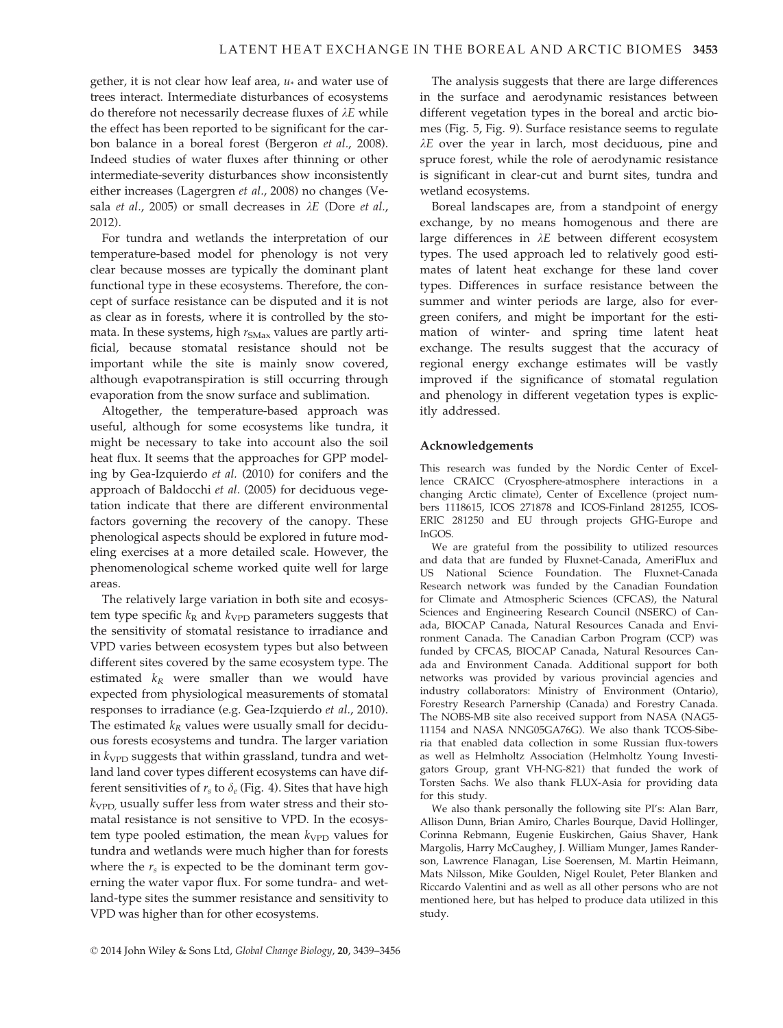gether, it is not clear how leaf area,  $u_*$  and water use of trees interact. Intermediate disturbances of ecosystems do therefore not necessarily decrease fluxes of  $\lambda E$  while the effect has been reported to be significant for the carbon balance in a boreal forest (Bergeron et al., 2008). Indeed studies of water fluxes after thinning or other intermediate-severity disturbances show inconsistently either increases (Lagergren et al., 2008) no changes (Vesala et al., 2005) or small decreases in  $\lambda E$  (Dore et al., 2012).

For tundra and wetlands the interpretation of our temperature-based model for phenology is not very clear because mosses are typically the dominant plant functional type in these ecosystems. Therefore, the concept of surface resistance can be disputed and it is not as clear as in forests, where it is controlled by the stomata. In these systems, high  $r_{SMax}$  values are partly artificial, because stomatal resistance should not be important while the site is mainly snow covered, although evapotranspiration is still occurring through evaporation from the snow surface and sublimation.

Altogether, the temperature-based approach was useful, although for some ecosystems like tundra, it might be necessary to take into account also the soil heat flux. It seems that the approaches for GPP modeling by Gea-Izquierdo et al. (2010) for conifers and the approach of Baldocchi et al. (2005) for deciduous vegetation indicate that there are different environmental factors governing the recovery of the canopy. These phenological aspects should be explored in future modeling exercises at a more detailed scale. However, the phenomenological scheme worked quite well for large areas.

The relatively large variation in both site and ecosystem type specific  $k_R$  and  $k_{\text{VPD}}$  parameters suggests that the sensitivity of stomatal resistance to irradiance and VPD varies between ecosystem types but also between different sites covered by the same ecosystem type. The estimated  $k_R$  were smaller than we would have expected from physiological measurements of stomatal responses to irradiance (e.g. Gea-Izquierdo et al., 2010). The estimated  $k_R$  values were usually small for deciduous forests ecosystems and tundra. The larger variation in  $k_{\text{VPD}}$  suggests that within grassland, tundra and wetland land cover types different ecosystems can have different sensitivities of  $r_s$  to  $\delta_e$  (Fig. 4). Sites that have high  $k_{\text{VPD}}$  usually suffer less from water stress and their stomatal resistance is not sensitive to VPD. In the ecosystem type pooled estimation, the mean  $k_{\text{VPD}}$  values for tundra and wetlands were much higher than for forests where the  $r<sub>s</sub>$  is expected to be the dominant term governing the water vapor flux. For some tundra- and wetland-type sites the summer resistance and sensitivity to VPD was higher than for other ecosystems.

The analysis suggests that there are large differences in the surface and aerodynamic resistances between different vegetation types in the boreal and arctic biomes (Fig. 5, Fig. 9). Surface resistance seems to regulate  $\lambda E$  over the year in larch, most deciduous, pine and spruce forest, while the role of aerodynamic resistance is significant in clear-cut and burnt sites, tundra and wetland ecosystems.

Boreal landscapes are, from a standpoint of energy exchange, by no means homogenous and there are large differences in  $\lambda E$  between different ecosystem types. The used approach led to relatively good estimates of latent heat exchange for these land cover types. Differences in surface resistance between the summer and winter periods are large, also for evergreen conifers, and might be important for the estimation of winter- and spring time latent heat exchange. The results suggest that the accuracy of regional energy exchange estimates will be vastly improved if the significance of stomatal regulation and phenology in different vegetation types is explicitly addressed.

## Acknowledgements

This research was funded by the Nordic Center of Excellence CRAICC (Cryosphere-atmosphere interactions in a changing Arctic climate), Center of Excellence (project numbers 1118615, ICOS 271878 and ICOS-Finland 281255, ICOS-ERIC 281250 and EU through projects GHG-Europe and InGOS.

We are grateful from the possibility to utilized resources and data that are funded by Fluxnet-Canada, AmeriFlux and US National Science Foundation. The Fluxnet-Canada Research network was funded by the Canadian Foundation for Climate and Atmospheric Sciences (CFCAS), the Natural Sciences and Engineering Research Council (NSERC) of Canada, BIOCAP Canada, Natural Resources Canada and Environment Canada. The Canadian Carbon Program (CCP) was funded by CFCAS, BIOCAP Canada, Natural Resources Canada and Environment Canada. Additional support for both networks was provided by various provincial agencies and industry collaborators: Ministry of Environment (Ontario), Forestry Research Parnership (Canada) and Forestry Canada. The NOBS-MB site also received support from NASA (NAG5- 11154 and NASA NNG05GA76G). We also thank TCOS-Siberia that enabled data collection in some Russian flux-towers as well as Helmholtz Association (Helmholtz Young Investigators Group, grant VH-NG-821) that funded the work of Torsten Sachs. We also thank FLUX-Asia for providing data for this study.

We also thank personally the following site PI's: Alan Barr, Allison Dunn, Brian Amiro, Charles Bourque, David Hollinger, Corinna Rebmann, Eugenie Euskirchen, Gaius Shaver, Hank Margolis, Harry McCaughey, J. William Munger, James Randerson, Lawrence Flanagan, Lise Soerensen, M. Martin Heimann, Mats Nilsson, Mike Goulden, Nigel Roulet, Peter Blanken and Riccardo Valentini and as well as all other persons who are not mentioned here, but has helped to produce data utilized in this study.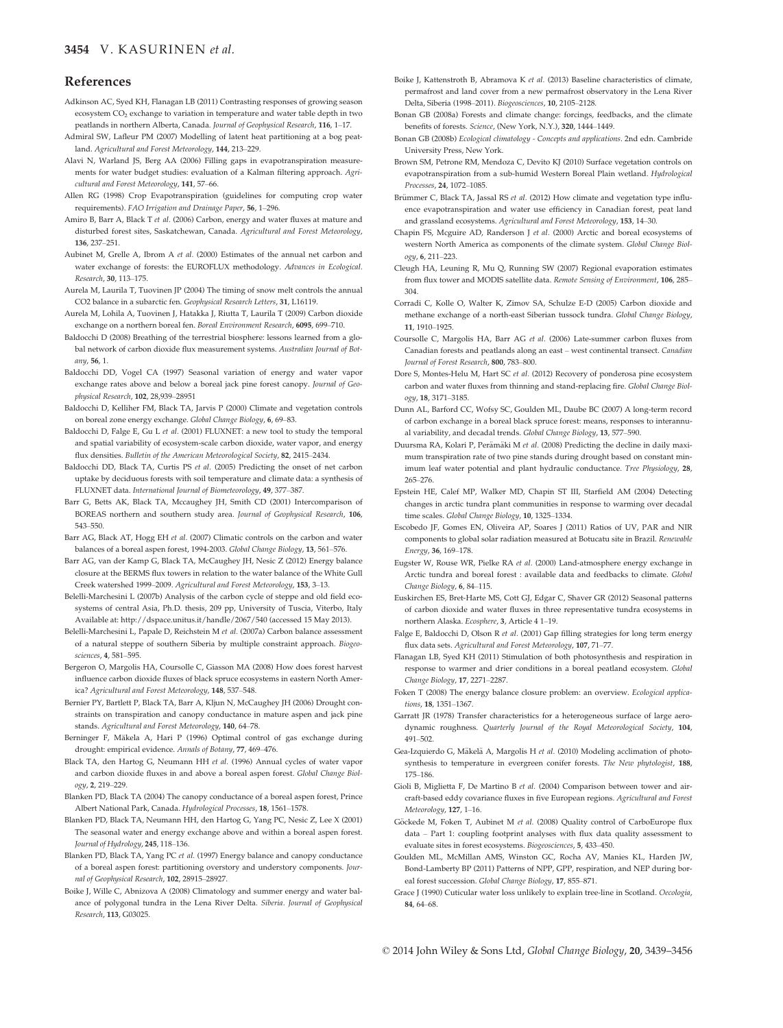#### References

- Adkinson AC, Syed KH, Flanagan LB (2011) Contrasting responses of growing season ecosystem CO<sub>2</sub> exchange to variation in temperature and water table depth in two peatlands in northern Alberta, Canada. Journal of Geophysical Research, 116, 1–17.
- Admiral SW, Lafleur PM (2007) Modelling of latent heat partitioning at a bog peatland. Agricultural and Forest Meteorology, 144, 213–229.
- Alavi N, Warland JS, Berg AA (2006) Filling gaps in evapotranspiration measurements for water budget studies: evaluation of a Kalman filtering approach. Agricultural and Forest Meteorology, 141, 57–66.
- Allen RG (1998) Crop Evapotranspiration (guidelines for computing crop water requirements). FAO Irrigation and Drainage Paper, 56, 1–296.
- Amiro B, Barr A, Black T et al. (2006) Carbon, energy and water fluxes at mature and disturbed forest sites, Saskatchewan, Canada. Agricultural and Forest Meteorology, 136, 237–251.
- Aubinet M, Grelle A, Ibrom A et al. (2000) Estimates of the annual net carbon and water exchange of forests: the EUROFLUX methodology. Advances in Ecological. Research, 30, 113–175.
- Aurela M, Laurila T, Tuovinen JP (2004) The timing of snow melt controls the annual CO2 balance in a subarctic fen. Geophysical Research Letters, 31, L16119.
- Aurela M, Lohila A, Tuovinen J, Hatakka J, Riutta T, Laurila T (2009) Carbon dioxide exchange on a northern boreal fen. Boreal Environment Research, 6095, 699–710.
- Baldocchi D (2008) Breathing of the terrestrial biosphere: lessons learned from a global network of carbon dioxide flux measurement systems. Australian Journal of Botany, 56, 1.
- Baldocchi DD, Vogel CA (1997) Seasonal variation of energy and water vapor exchange rates above and below a boreal jack pine forest canopy. Journal of Geophysical Research, 102, 28,939–28951
- Baldocchi D, Kelliher FM, Black TA, Jarvis P (2000) Climate and vegetation controls on boreal zone energy exchange. Global Change Biology, 6, 69–83.
- Baldocchi D, Falge E, Gu L et al. (2001) FLUXNET: a new tool to study the temporal and spatial variability of ecosystem-scale carbon dioxide, water vapor, and energy flux densities. Bulletin of the American Meteorological Society, 82, 2415–2434.
- Baldocchi DD, Black TA, Curtis PS et al. (2005) Predicting the onset of net carbon uptake by deciduous forests with soil temperature and climate data: a synthesis of FLUXNET data. International Journal of Biometeorology, 49, 377–387.
- Barr G, Betts AK, Black TA, Mccaughey JH, Smith CD (2001) Intercomparison of BOREAS northern and southern study area. Journal of Geophysical Research, 106, 543–550.
- Barr AG, Black AT, Hogg EH et al. (2007) Climatic controls on the carbon and water balances of a boreal aspen forest, 1994-2003. Global Change Biology, 13, 561–576.
- Barr AG, van der Kamp G, Black TA, McCaughey JH, Nesic Z (2012) Energy balance closure at the BERMS flux towers in relation to the water balance of the White Gull Creek watershed 1999–2009. Agricultural and Forest Meteorology, 153, 3–13.
- Belelli-Marchesini L (2007b) Analysis of the carbon cycle of steppe and old field ecosystems of central Asia, Ph.D. thesis, 209 pp, University of Tuscia, Viterbo, Italy Available at: http://dspace.unitus.it/handle/2067/540 (accessed 15 May 2013).
- Belelli-Marchesini L, Papale D, Reichstein M et al. (2007a) Carbon balance assessment of a natural steppe of southern Siberia by multiple constraint approach. Biogeosciences, 4, 581–595.
- Bergeron O, Margolis HA, Coursolle C, Giasson MA (2008) How does forest harvest influence carbon dioxide fluxes of black spruce ecosystems in eastern North America? Agricultural and Forest Meteorology, 148, 537–548.
- Bernier PY, Bartlett P, Black TA, Barr A, Kljun N, McCaughey JH (2006) Drought constraints on transpiration and canopy conductance in mature aspen and jack pine stands. Agricultural and Forest Meteorology, 140, 64-78.
- Berninger F, Mäkela A, Hari P (1996) Optimal control of gas exchange during drought: empirical evidence. Annals of Botany, 77, 469–476.
- Black TA, den Hartog G, Neumann HH et al. (1996) Annual cycles of water vapor and carbon dioxide fluxes in and above a boreal aspen forest. Global Change Biology, 2, 219–229.
- Blanken PD, Black TA (2004) The canopy conductance of a boreal aspen forest, Prince Albert National Park, Canada. Hydrological Processes, 18, 1561–1578.
- Blanken PD, Black TA, Neumann HH, den Hartog G, Yang PC, Nesic Z, Lee X (2001) The seasonal water and energy exchange above and within a boreal aspen forest. Journal of Hydrology, 245, 118–136.
- Blanken PD, Black TA, Yang PC et al. (1997) Energy balance and canopy conductance of a boreal aspen forest: partitioning overstory and understory components. Journal of Geophysical Research, 102, 28915–28927.
- Boike J, Wille C, Abnizova A (2008) Climatology and summer energy and water balance of polygonal tundra in the Lena River Delta. Siberia. Journal of Geophysical Research, 113, G03025.
- Boike J, Kattenstroth B, Abramova K et al. (2013) Baseline characteristics of climate, permafrost and land cover from a new permafrost observatory in the Lena River Delta, Siberia (1998–2011). Biogeosciences, 10, 2105–2128.
- Bonan GB (2008a) Forests and climate change: forcings, feedbacks, and the climate benefits of forests. Science, (New York, N.Y.), 320, 1444–1449.
- Bonan GB (2008b) Ecological climatology Concepts and applications. 2nd edn. Cambride University Press, New York.
- Brown SM, Petrone RM, Mendoza C, Devito KJ (2010) Surface vegetation controls on evapotranspiration from a sub-humid Western Boreal Plain wetland. Hydrological Processes, 24, 1072–1085.
- Brümmer C, Black TA, Jassal RS et al. (2012) How climate and vegetation type influence evapotranspiration and water use efficiency in Canadian forest, peat land and grassland ecosystems. Agricultural and Forest Meteorology, 153, 14–30.
- Chapin FS, Mcguire AD, Randerson J et al. (2000) Arctic and boreal ecosystems of western North America as components of the climate system. Global Change Biology, 6, 211–223.
- Cleugh HA, Leuning R, Mu Q, Running SW (2007) Regional evaporation estimates from flux tower and MODIS satellite data. Remote Sensing of Environment, 106, 285– 304.
- Corradi C, Kolle O, Walter K, Zimov SA, Schulze E-D (2005) Carbon dioxide and methane exchange of a north-east Siberian tussock tundra. Global Change Biology, 11, 1910–1925.
- Coursolle C, Margolis HA, Barr AG et al. (2006) Late-summer carbon fluxes from Canadian forests and peatlands along an east – west continental transect. Canadian Journal of Forest Research, 800, 783–800.
- Dore S, Montes-Helu M, Hart SC et al. (2012) Recovery of ponderosa pine ecosystem carbon and water fluxes from thinning and stand-replacing fire. Global Change Biology, 18, 3171–3185.
- Dunn AL, Barford CC, Wofsy SC, Goulden ML, Daube BC (2007) A long-term record of carbon exchange in a boreal black spruce forest: means, responses to interannual variability, and decadal trends. Global Change Biology, 13, 577–590.
- Duursma RA, Kolari P, Perämäki M et al. (2008) Predicting the decline in daily maximum transpiration rate of two pine stands during drought based on constant minimum leaf water potential and plant hydraulic conductance. Tree Physiology, 28, 265–276.
- Epstein HE, Calef MP, Walker MD, Chapin ST III, Starfield AM (2004) Detecting changes in arctic tundra plant communities in response to warming over decadal time scales. Global Change Biology, 10, 1325–1334.
- Escobedo JF, Gomes EN, Oliveira AP, Soares J (2011) Ratios of UV, PAR and NIR components to global solar radiation measured at Botucatu site in Brazil. Renewable Energy, 36, 169–178.
- Eugster W, Rouse WR, Pielke RA et al. (2000) Land-atmosphere energy exchange in Arctic tundra and boreal forest : available data and feedbacks to climate. Global Change Biology, 6, 84–115.
- Euskirchen ES, Bret-Harte MS, Cott GJ, Edgar C, Shaver GR (2012) Seasonal patterns of carbon dioxide and water fluxes in three representative tundra ecosystems in northern Alaska. Ecosphere, 3, Article 4 1–19.
- Falge E, Baldocchi D, Olson R et al. (2001) Gap filling strategies for long term energy flux data sets. Agricultural and Forest Meteorology, 107, 71–77.
- Flanagan LB, Syed KH (2011) Stimulation of both photosynthesis and respiration in response to warmer and drier conditions in a boreal peatland ecosystem. Global Change Biology, 17, 2271–2287.
- Foken T (2008) The energy balance closure problem: an overview. Ecological applications, 18, 1351-1367.
- Garratt JR (1978) Transfer characteristics for a heterogeneous surface of large aerodynamic roughness. Quarterly Journal of the Royal Meteorological Society, 104, 491–502.
- Gea-Izquierdo G, Mäkelä A, Margolis H et al. (2010) Modeling acclimation of photosynthesis to temperature in evergreen conifer forests. The New phytologist, 188, 175–186.
- Gioli B, Miglietta F, De Martino B et al. (2004) Comparison between tower and aircraft-based eddy covariance fluxes in five European regions. Agricultural and Forest Meteorology, 127, 1–16.
- Göckede M, Foken T, Aubinet M et al. (2008) Quality control of CarboEurope flux data – Part 1: coupling footprint analyses with flux data quality assessment to evaluate sites in forest ecosystems. Biogeosciences, 5, 433–450.
- Goulden ML, McMillan AMS, Winston GC, Rocha AV, Manies KL, Harden JW, Bond-Lamberty BP (2011) Patterns of NPP, GPP, respiration, and NEP during boreal forest succession. Global Change Biology, 17, 855–871.
- Grace J (1990) Cuticular water loss unlikely to explain tree-line in Scotland. Oecologia, 84, 64–68.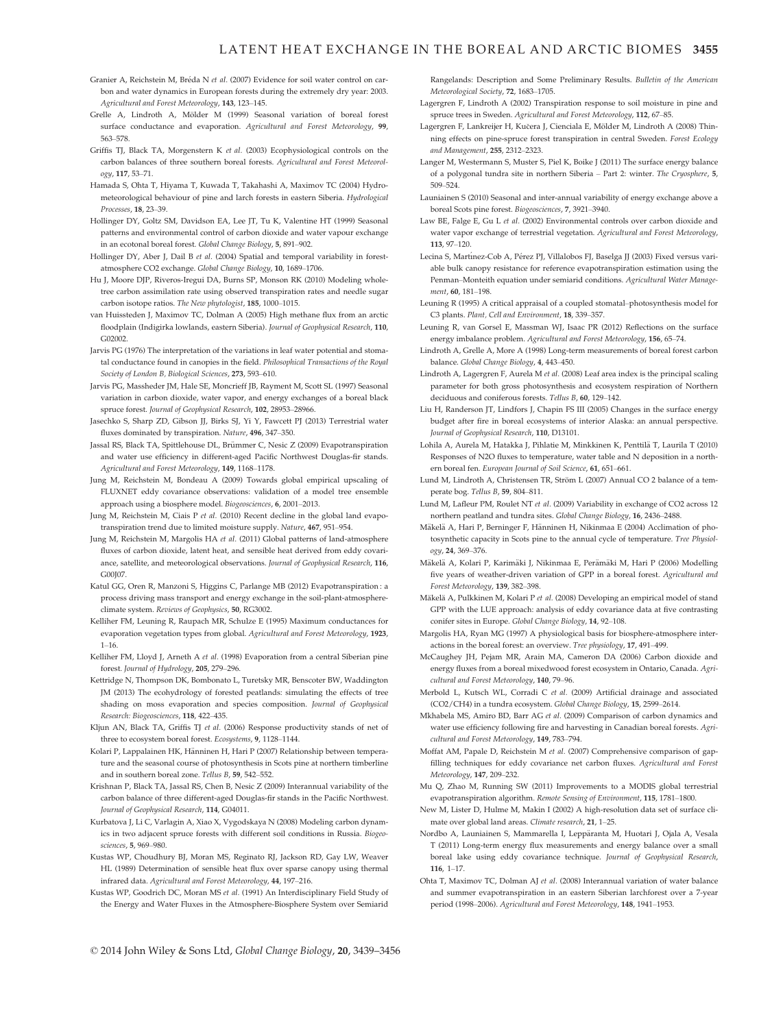- Granier A, Reichstein M, Breda N et al. (2007) Evidence for soil water control on carbon and water dynamics in European forests during the extremely dry year: 2003. Agricultural and Forest Meteorology, 143, 123–145.
- Grelle A, Lindroth A, Mölder M (1999) Seasonal variation of boreal forest surface conductance and evaporation. Agricultural and Forest Meteorology, 99, 563–578.
- Griffis TJ, Black TA, Morgenstern K et al. (2003) Ecophysiological controls on the carbon balances of three southern boreal forests. Agricultural and Forest Meteorology, 117, 53–71.
- Hamada S, Ohta T, Hiyama T, Kuwada T, Takahashi A, Maximov TC (2004) Hydrometeorological behaviour of pine and larch forests in eastern Siberia. Hydrological Processes, 18, 23–39.
- Hollinger DY, Goltz SM, Davidson EA, Lee IT, Tu K, Valentine HT (1999) Seasonal patterns and environmental control of carbon dioxide and water vapour exchange in an ecotonal boreal forest. Global Change Biology, 5, 891–902.
- Hollinger DY, Aber J, Dail B et al. (2004) Spatial and temporal variability in forestatmosphere CO2 exchange. Global Change Biology, 10, 1689–1706.
- Hu J, Moore DJP, Riveros-Iregui DA, Burns SP, Monson RK (2010) Modeling wholetree carbon assimilation rate using observed transpiration rates and needle sugar carbon isotope ratios. The New phytologist, 185, 1000–1015.
- van Huissteden J, Maximov TC, Dolman A (2005) High methane flux from an arctic floodplain (Indigirka lowlands, eastern Siberia). Journal of Geophysical Research, 110, G02002.
- Jarvis PG (1976) The interpretation of the variations in leaf water potential and stomatal conductance found in canopies in the field. Philosophical Transactions of the Royal Society of London B, Biological Sciences, 273, 593–610.
- Jarvis PG, Massheder JM, Hale SE, Moncrieff JB, Rayment M, Scott SL (1997) Seasonal variation in carbon dioxide, water vapor, and energy exchanges of a boreal black spruce forest. Journal of Geophysical Research, 102, 28953–28966.
- Jasechko S, Sharp ZD, Gibson JJ, Birks SJ, Yi Y, Fawcett PJ (2013) Terrestrial water fluxes dominated by transpiration. Nature, 496, 347–350.
- Jassal RS, Black TA, Spittlehouse DL, Brummer C, Nesic Z (2009) Evapotranspiration € and water use efficiency in different-aged Pacific Northwest Douglas-fir stands. Agricultural and Forest Meteorology, 149, 1168–1178.
- Jung M, Reichstein M, Bondeau A (2009) Towards global empirical upscaling of FLUXNET eddy covariance observations: validation of a model tree ensemble approach using a biosphere model. Biogeosciences, 6, 2001–2013.
- Jung M, Reichstein M, Ciais P et al. (2010) Recent decline in the global land evapotranspiration trend due to limited moisture supply. Nature, 467, 951–954.
- Jung M, Reichstein M, Margolis HA et al. (2011) Global patterns of land-atmosphere fluxes of carbon dioxide, latent heat, and sensible heat derived from eddy covariance, satellite, and meteorological observations. Journal of Geophysical Research, 116,  $C00107$
- Katul GG, Oren R, Manzoni S, Higgins C, Parlange MB (2012) Evapotranspiration : a process driving mass transport and energy exchange in the soil-plant-atmosphereclimate system. Reviews of Geophysics, 50, RG3002.
- Kelliher FM, Leuning R, Raupach MR, Schulze E (1995) Maximum conductances for evaporation vegetation types from global. Agricultural and Forest Meteorology, 1923, 1–16.
- Kelliher FM, Lloyd J, Arneth A et al. (1998) Evaporation from a central Siberian pine forest. Journal of Hydrology, 205, 279–296.
- Kettridge N, Thompson DK, Bombonato L, Turetsky MR, Benscoter BW, Waddington JM (2013) The ecohydrology of forested peatlands: simulating the effects of tree shading on moss evaporation and species composition. Journal of Geophysical Research: Biogeosciences, 118, 422–435.
- Kljun AN, Black TA, Griffis TJ et al. (2006) Response productivity stands of net of three to ecosystem boreal forest. Ecosystems, 9, 1128-1144
- Kolari P, Lappalainen HK, Hänninen H, Hari P (2007) Relationship between temperature and the seasonal course of photosynthesis in Scots pine at northern timberline and in southern boreal zone. Tellus B, 59, 542–552.
- Krishnan P, Black TA, Jassal RS, Chen B, Nesic Z (2009) Interannual variability of the carbon balance of three different-aged Douglas-fir stands in the Pacific Northwest. Journal of Geophysical Research, 114, G04011.
- Kurbatova J, Li C, Varlagin A, Xiao X, Vygodskaya N (2008) Modeling carbon dynamics in two adjacent spruce forests with different soil conditions in Russia. Biogeosciences, 5, 969–980.
- Kustas WP, Choudhury BJ, Moran MS, Reginato RJ, Jackson RD, Gay LW, Weaver HL (1989) Determination of sensible heat flux over sparse canopy using thermal infrared data. Agricultural and Forest Meteorology, 44, 197–216.
- Kustas WP, Goodrich DC, Moran MS et al. (1991) An Interdisciplinary Field Study of the Energy and Water Fluxes in the Atmosphere-Biosphere System over Semiarid

Rangelands: Description and Some Preliminary Results. Bulletin of the American Meteorological Society, 72, 1683–1705.

- Lagergren F, Lindroth A (2002) Transpiration response to soil moisture in pine and spruce trees in Sweden. Agricultural and Forest Meteorology, 112, 67–85.
- Lagergren F, Lankreijer H, Kučera J, Cienciala E, Mölder M, Lindroth A (2008) Thinning effects on pine-spruce forest transpiration in central Sweden. Forest Ecology and Management, 255, 2312–2323.
- Langer M, Westermann S, Muster S, Piel K, Boike J (2011) The surface energy balance of a polygonal tundra site in northern Siberia – Part 2: winter. The Cryosphere, 5, 509–524.
- Launiainen S (2010) Seasonal and inter-annual variability of energy exchange above a boreal Scots pine forest. Biogeosciences, 7, 3921–3940.
- Law BE, Falge E, Gu L et al. (2002) Environmental controls over carbon dioxide and water vapor exchange of terrestrial vegetation. Agricultural and Forest Meteorology, 113, 97–120.
- Lecina S, Martinez-Cob A, Pérez PJ, Villalobos FJ, Baselga JJ (2003) Fixed versus variable bulk canopy resistance for reference evapotranspiration estimation using the Penman–Monteith equation under semiarid conditions. Agricultural Water Management, 60, 181–198.
- Leuning R (1995) A critical appraisal of a coupled stomatal–photosynthesis model for C3 plants. Plant, Cell and Environment, 18, 339–357.
- Leuning R, van Gorsel E, Massman WJ, Isaac PR (2012) Reflections on the surface energy imbalance problem. Agricultural and Forest Meteorology, 156, 65–74.
- Lindroth A, Grelle A, More A (1998) Long-term measurements of boreal forest carbon balance. Global Change Biology, 4, 443–450.
- Lindroth A, Lagergren F, Aurela M et al. (2008) Leaf area index is the principal scaling parameter for both gross photosynthesis and ecosystem respiration of Northern deciduous and coniferous forests. Tellus B, 60, 129–142.
- Liu H, Randerson JT, Lindfors J, Chapin FS III (2005) Changes in the surface energy budget after fire in boreal ecosystems of interior Alaska: an annual perspective. Journal of Geophysical Research, 110, D13101.
- Lohila A, Aurela M, Hatakka J, Pihlatie M, Minkkinen K, Penttilä T, Laurila T (2010) Responses of N2O fluxes to temperature, water table and N deposition in a northern boreal fen. European Journal of Soil Science, 61, 651-661.
- Lund M, Lindroth A, Christensen TR, Ström L (2007) Annual CO 2 balance of a temperate bog. Tellus B, 59, 804–811.
- Lund M, Lafleur PM, Roulet NT et al. (2009) Variability in exchange of CO2 across 12 northern peatland and tundra sites. Global Change Biology, 16, 2436–2488.
- Mäkelä A, Hari P, Berninger F, Hänninen H, Nikinmaa E (2004) Acclimation of photosynthetic capacity in Scots pine to the annual cycle of temperature. Tree Physiology, 24, 369–376.
- Mäkelä A, Kolari P, Karimäki J, Nikinmaa E, Perämäki M, Hari P (2006) Modelling five years of weather-driven variation of GPP in a boreal forest. Agricultural and Forest Meteorology, 139, 382–398.
- Mäkelä A, Pulkkinen M, Kolari P et al. (2008) Developing an empirical model of stand GPP with the LUE approach: analysis of eddy covariance data at five contrasting conifer sites in Europe. Global Change Biology, 14, 92–108.
- Margolis HA, Ryan MG (1997) A physiological basis for biosphere-atmosphere interactions in the boreal forest: an overview. Tree physiology, 17, 491–499.
- McCaughey JH, Pejam MR, Arain MA, Cameron DA (2006) Carbon dioxide and energy fluxes from a boreal mixedwood forest ecosystem in Ontario, Canada. Agricultural and Forest Meteorology, 140, 79–96.
- Merbold L, Kutsch WL, Corradi C et al. (2009) Artificial drainage and associated (CO2/CH4) in a tundra ecosystem. Global Change Biology, 15, 2599–2614.
- Mkhabela MS, Amiro BD, Barr AG et al. (2009) Comparison of carbon dynamics and water use efficiency following fire and harvesting in Canadian boreal forests. Agricultural and Forest Meteorology, 149, 783–794.
- Moffat AM, Papale D, Reichstein M et al. (2007) Comprehensive comparison of gapfilling techniques for eddy covariance net carbon fluxes. Agricultural and Forest Meteorology, 147, 209–232.
- Mu Q, Zhao M, Running SW (2011) Improvements to a MODIS global terrestrial evapotranspiration algorithm. Remote Sensing of Environment, 115, 1781–1800.
- New M, Lister D, Hulme M, Makin I (2002) A high-resolution data set of surface climate over global land areas. Climate research, 21, 1–25.
- Nordbo A, Launiainen S, Mammarella I, Leppäranta M, Huotari J, Ojala A, Vesala T (2011) Long-term energy flux measurements and energy balance over a small boreal lake using eddy covariance technique. Journal of Geophysical Research, 116, 1–17.
- Ohta T, Maximov TC, Dolman AJ et al. (2008) Interannual variation of water balance and summer evapotranspiration in an eastern Siberian larchforest over a 7-year period (1998–2006). Agricultural and Forest Meteorology, 148, 1941–1953.